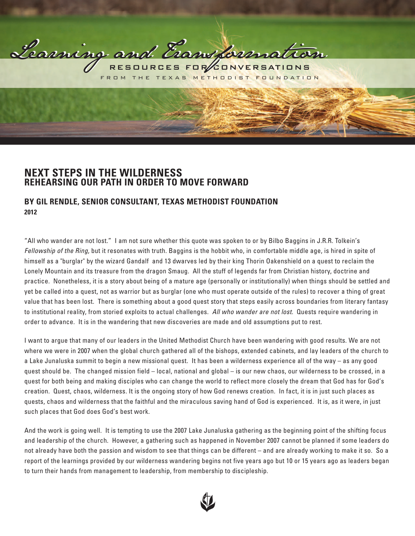RESOURCES FOR CONVERSATIONS Learning and Eransformation

FROM THE TEXAS METHODIST FOUNDATION

# **NEXT STEPS IN THE WILDERNESS REHEARSING OUR PATH IN ORDER TO MOVE FORWARD**

## **BY GIL RENDLE, SENIOR CONSULTANT, TEXAS METHODIST FOUNDATION 2012**

"All who wander are not lost." I am not sure whether this quote was spoken to or by Bilbo Baggins in J.R.R. Tolkein's *Fellowship of the Ring*, but it resonates with truth. Baggins is the hobbit who, in comfortable middle age, is hired in spite of himself as a "burglar" by the wizard Gandalf and 13 dwarves led by their king Thorin Oakenshield on a quest to reclaim the Lonely Mountain and its treasure from the dragon Smaug. All the stuff of legends far from Christian history, doctrine and practice. Nonetheless, it is a story about being of a mature age (personally or institutionally) when things should be settled and yet be called into a quest, not as warrior but as burglar (one who must operate outside of the rules) to recover a thing of great value that has been lost. There is something about a good quest story that steps easily across boundaries from literary fantasy to institutional reality, from storied exploits to actual challenges. *All who wander are not lost.* Quests require wandering in order to advance. It is in the wandering that new discoveries are made and old assumptions put to rest.

I want to argue that many of our leaders in the United Methodist Church have been wandering with good results. We are not where we were in 2007 when the global church gathered all of the bishops, extended cabinets, and lay leaders of the church to a Lake Junaluska summit to begin a new missional quest. It has been a wilderness experience all of the way – as any good quest should be. The changed mission field – local, national and global – is our new chaos, our wilderness to be crossed, in a quest for both being and making disciples who can change the world to reflect more closely the dream that God has for God's creation. Quest, chaos, wilderness. It is the ongoing story of how God renews creation. In fact, it is in just such places as quests, chaos and wilderness that the faithful and the miraculous saving hand of God is experienced. It is, as it were, in just such places that God does God's best work.

And the work is going well. It is tempting to use the 2007 Lake Junaluska gathering as the beginning point of the shifting focus and leadership of the church. However, a gathering such as happened in November 2007 cannot be planned if some leaders do not already have both the passion and wisdom to see that things can be different – and are already working to make it so. So a report of the learnings provided by our wilderness wandering begins not five years ago but 10 or 15 years ago as leaders began to turn their hands from management to leadership, from membership to discipleship.

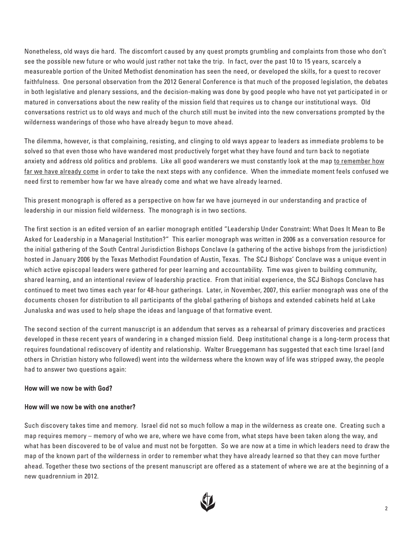Nonetheless, old ways die hard. The discomfort caused by any quest prompts grumbling and complaints from those who don't see the possible new future or who would just rather not take the trip. In fact, over the past 10 to 15 years, scarcely a measureable portion of the United Methodist denomination has seen the need, or developed the skills, for a quest to recover faithfulness. One personal observation from the 2012 General Conference is that much of the proposed legislation, the debates in both legislative and plenary sessions, and the decision-making was done by good people who have not yet participated in or matured in conversations about the new reality of the mission field that requires us to change our institutional ways. Old conversations restrict us to old ways and much of the church still must be invited into the new conversations prompted by the wilderness wanderings of those who have already begun to move ahead.

The dilemma, however, is that complaining, resisting, and clinging to old ways appear to leaders as immediate problems to be solved so that even those who have wandered most productively forget what they have found and turn back to negotiate anxiety and address old politics and problems. Like all good wanderers we must constantly look at the map to remember how far we have already come in order to take the next steps with any confidence. When the immediate moment feels confused we need first to remember how far we have already come and what we have already learned.

This present monograph is offered as a perspective on how far we have journeyed in our understanding and practice of leadership in our mission field wilderness. The monograph is in two sections.

The first section is an edited version of an earlier monograph entitled "Leadership Under Constraint: What Does It Mean to Be Asked for Leadership in a Managerial Institution?" This earlier monograph was written in 2006 as a conversation resource for the initial gathering of the South Central Jurisdiction Bishops Conclave (a gathering of the active bishops from the jurisdiction) hosted in January 2006 by the Texas Methodist Foundation of Austin, Texas. The SCJ Bishops' Conclave was a unique event in which active episcopal leaders were gathered for peer learning and accountability. Time was given to building community, shared learning, and an intentional review of leadership practice. From that initial experience, the SCJ Bishops Conclave has continued to meet two times each year for 48-hour gatherings. Later, in November, 2007, this earlier monograph was one of the documents chosen for distribution to all participants of the global gathering of bishops and extended cabinets held at Lake Junaluska and was used to help shape the ideas and language of that formative event.

The second section of the current manuscript is an addendum that serves as a rehearsal of primary discoveries and practices developed in these recent years of wandering in a changed mission field. Deep institutional change is a long-term process that requires foundational rediscovery of identity and relationship. Walter Brueggemann has suggested that each time Israel (and others in Christian history who followed) went into the wilderness where the known way of life was stripped away, the people had to answer two questions again:

## How will we now be with God?

#### How will we now be with one another?

Such discovery takes time and memory. Israel did not so much follow a map in the wilderness as create one. Creating such a map requires memory – memory of who we are, where we have come from, what steps have been taken along the way, and what has been discovered to be of value and must not be forgotten. So we are now at a time in which leaders need to draw the map of the known part of the wilderness in order to remember what they have already learned so that they can move further ahead. Together these two sections of the present manuscript are offered as a statement of where we are at the beginning of a new quadrennium in 2012.

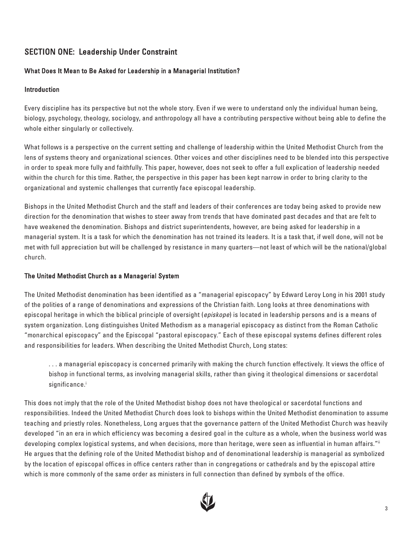# SECTION ONE: Leadership Under Constraint

## What Does It Mean to Be Asked for Leadership in a Managerial Institution?

## Introduction

Every discipline has its perspective but not the whole story. Even if we were to understand only the individual human being, biology, psychology, theology, sociology, and anthropology all have a contributing perspective without being able to define the whole either singularly or collectively.

What follows is a perspective on the current setting and challenge of leadership within the United Methodist Church from the lens of systems theory and organizational sciences. Other voices and other disciplines need to be blended into this perspective in order to speak more fully and faithfully. This paper, however, does not seek to offer a full explication of leadership needed within the church for this time. Rather, the perspective in this paper has been kept narrow in order to bring clarity to the organizational and systemic challenges that currently face episcopal leadership.

Bishops in the United Methodist Church and the staff and leaders of their conferences are today being asked to provide new direction for the denomination that wishes to steer away from trends that have dominated past decades and that are felt to have weakened the denomination. Bishops and district superintendents, however, are being asked for leadership in a managerial system. It is a task for which the denomination has not trained its leaders. It is a task that, if well done, will not be met with full appreciation but will be challenged by resistance in many quarters—not least of which will be the national/global church.

## The United Methodist Church as a Managerial System

The United Methodist denomination has been identified as a "managerial episcopacy" by Edward Leroy Long in his 2001 study of the polities of a range of denominations and expressions of the Christian faith. Long looks at three denominations with episcopal heritage in which the biblical principle of oversight (*episkope*) is located in leadership persons and is a means of system organization. Long distinguishes United Methodism as a managerial episcopacy as distinct from the Roman Catholic "monarchical episcopacy" and the Episcopal "pastoral episcopacy." Each of these episcopal systems defines different roles and responsibilities for leaders. When describing the United Methodist Church, Long states:

. . . a managerial episcopacy is concerned primarily with making the church function effectively. It views the office of bishop in functional terms, as involving managerial skills, rather than giving it theological dimensions or sacerdotal significance. i

This does not imply that the role of the United Methodist bishop does not have theological or sacerdotal functions and responsibilities. Indeed the United Methodist Church does look to bishops within the United Methodist denomination to assume teaching and priestly roles. Nonetheless, Long argues that the governance pattern of the United Methodist Church was heavily developed "in an era in which efficiency was becoming a desired goal in the culture as a whole, when the business world was developing complex logistical systems, and when decisions, more than heritage, were seen as influential in human affairs."" He argues that the defining role of the United Methodist bishop and of denominational leadership is managerial as symbolized by the location of episcopal offices in office centers rather than in congregations or cathedrals and by the episcopal attire which is more commonly of the same order as ministers in full connection than defined by symbols of the office.

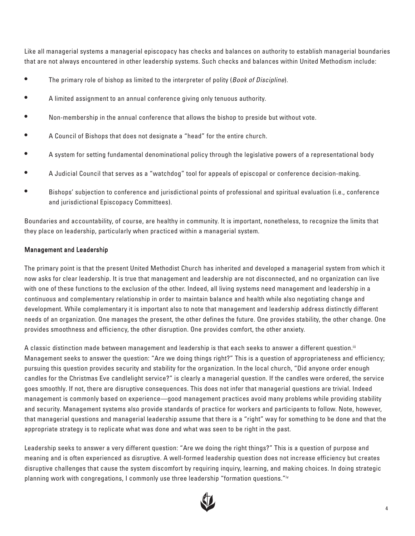Like all managerial systems a managerial episcopacy has checks and balances on authority to establish managerial boundaries that are not always encountered in other leadership systems. Such checks and balances within United Methodism include:

- The primary role of bishop as limited to the interpreter of polity (*Book of Discipline*).
- A limited assignment to an annual conference giving only tenuous authority.
- Non-membership in the annual conference that allows the bishop to preside but without vote.
- A Council of Bishops that does not designate a "head" for the entire church.
- A system for setting fundamental denominational policy through the legislative powers of a representational body
- A Judicial Council that serves as a "watchdog" tool for appeals of episcopal or conference decision-making.
- Bishops' subjection to conference and jurisdictional points of professional and spiritual evaluation (i.e., conference and jurisdictional Episcopacy Committees).

Boundaries and accountability, of course, are healthy in community. It is important, nonetheless, to recognize the limits that they place on leadership, particularly when practiced within a managerial system.

#### Management and Leadership

The primary point is that the present United Methodist Church has inherited and developed a managerial system from which it now asks for clear leadership. It is true that management and leadership are not disconnected, and no organization can live with one of these functions to the exclusion of the other. Indeed, all living systems need management and leadership in a continuous and complementary relationship in order to maintain balance and health while also negotiating change and development. While complementary it is important also to note that management and leadership address distinctly different needs of an organization. One manages the present, the other defines the future. One provides stability, the other change. One provides smoothness and efficiency, the other disruption. One provides comfort, the other anxiety.

A classic distinction made between management and leadership is that each seeks to answer a different question."" Management seeks to answer the question: "Are we doing things right?" This is a question of appropriateness and efficiency; pursuing this question provides security and stability for the organization. In the local church, "Did anyone order enough candles for the Christmas Eve candlelight service?" is clearly a managerial question. If the candles were ordered, the service goes smoothly. If not, there are disruptive consequences. This does not infer that managerial questions are trivial. Indeed management is commonly based on experience—good management practices avoid many problems while providing stability and security. Management systems also provide standards of practice for workers and participants to follow. Note, however, that managerial questions and managerial leadership assume that there is a "right" way for something to be done and that the appropriate strategy is to replicate what was done and what was seen to be right in the past.

Leadership seeks to answer a very different question: "Are we doing the right things?" This is a question of purpose and meaning and is often experienced as disruptive. A well-formed leadership question does not increase efficiency but creates disruptive challenges that cause the system discomfort by requiring inquiry, learning, and making choices. In doing strategic planning work with congregations, I commonly use three leadership "formation questions."iv

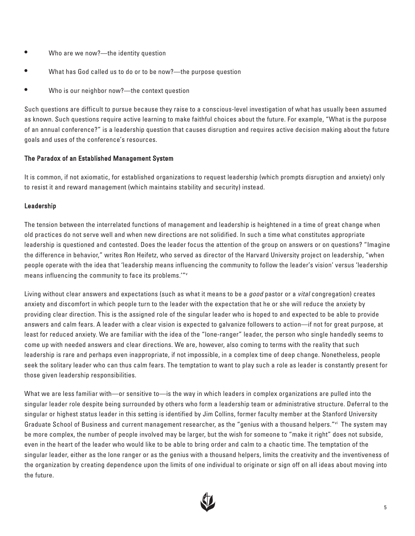- Who are we now?—the identity question
- What has God called us to do or to be now?—the purpose question
- Who is our neighbor now?—the context question

Such questions are difficult to pursue because they raise to a conscious-level investigation of what has usually been assumed as known. Such questions require active learning to make faithful choices about the future. For example, "What is the purpose of an annual conference?" is a leadership question that causes disruption and requires active decision making about the future goals and uses of the conference's resources.

#### The Paradox of an Established Management System

It is common, if not axiomatic, for established organizations to request leadership (which prompts disruption and anxiety) only to resist it and reward management (which maintains stability and security) instead.

#### Leadership

The tension between the interrelated functions of management and leadership is heightened in a time of great change when old practices do not serve well and when new directions are not solidified. In such a time what constitutes appropriate leadership is questioned and contested. Does the leader focus the attention of the group on answers or on questions? "Imagine the difference in behavior," writes Ron Heifetz, who served as director of the Harvard University project on leadership, "when people operate with the idea that 'leadership means influencing the community to follow the leader's vision' versus 'leadership means influencing the community to face its problems.'"v

Living without clear answers and expectations (such as what it means to be a *good* pastor or a *vital* congregation) creates anxiety and discomfort in which people turn to the leader with the expectation that he or she will reduce the anxiety by providing clear direction. This is the assigned role of the singular leader who is hoped to and expected to be able to provide answers and calm fears. A leader with a clear vision is expected to galvanize followers to action—if not for great purpose, at least for reduced anxiety. We are familiar with the idea of the "lone-ranger" leader, the person who single handedly seems to come up with needed answers and clear directions. We are, however, also coming to terms with the reality that such leadership is rare and perhaps even inappropriate, if not impossible, in a complex time of deep change. Nonetheless, people seek the solitary leader who can thus calm fears. The temptation to want to play such a role as leader is constantly present for those given leadership responsibilities.

What we are less familiar with—or sensitive to—is the way in which leaders in complex organizations are pulled into the singular leader role despite being surrounded by others who form a leadership team or administrative structure. Deferral to the singular or highest status leader in this setting is identified by Jim Collins, former faculty member at the Stanford University Graduate School of Business and current management researcher, as the "genius with a thousand helpers."vi The system may be more complex, the number of people involved may be larger, but the wish for someone to "make it right" does not subside, even in the heart of the leader who would like to be able to bring order and calm to a chaotic time. The temptation of the singular leader, either as the lone ranger or as the genius with a thousand helpers, limits the creativity and the inventiveness of the organization by creating dependence upon the limits of one individual to originate or sign off on all ideas about moving into the future.

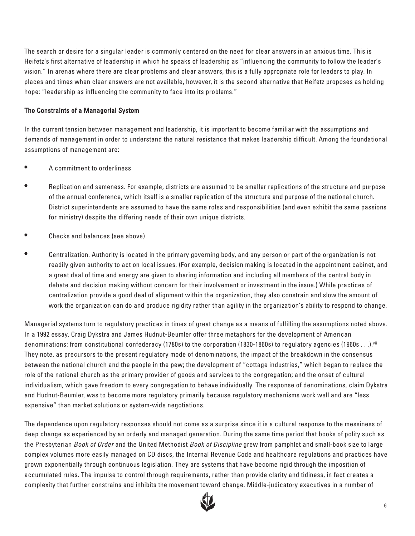The search or desire for a singular leader is commonly centered on the need for clear answers in an anxious time. This is Heifetz's first alternative of leadership in which he speaks of leadership as "influencing the community to follow the leader's vision." In arenas where there are clear problems and clear answers, this is a fully appropriate role for leaders to play. In places and times when clear answers are not available, however, it is the second alternative that Heifetz proposes as holding hope: "leadership as influencing the community to face into its problems."

## The Constraints of a Managerial System

In the current tension between management and leadership, it is important to become familiar with the assumptions and demands of management in order to understand the natural resistance that makes leadership difficult. Among the foundational assumptions of management are:

- A commitment to orderliness
- Replication and sameness. For example, districts are assumed to be smaller replications of the structure and purpose of the annual conference, which itself is a smaller replication of the structure and purpose of the national church. District superintendents are assumed to have the same roles and responsibilities (and even exhibit the same passions for ministry) despite the differing needs of their own unique districts.
- Checks and balances (see above)
- Centralization. Authority is located in the primary governing body, and any person or part of the organization is not readily given authority to act on local issues. (For example, decision making is located in the appointment cabinet, and a great deal of time and energy are given to sharing information and including all members of the central body in debate and decision making without concern for their involvement or investment in the issue.) While practices of centralization provide a good deal of alignment within the organization, they also constrain and slow the amount of work the organization can do and produce rigidity rather than agility in the organization's ability to respond to change.

Managerial systems turn to regulatory practices in times of great change as a means of fulfilling the assumptions noted above. In a 1992 essay, Craig Dykstra and James Hudnut-Beumler offer three metaphors for the development of American denominations: from constitutional confederacy (1780s) to the corporation (1830-1860s) to regulatory agencies (1960s . . .).<sup>vii</sup> They note, as precursors to the present regulatory mode of denominations, the impact of the breakdown in the consensus between the national church and the people in the pew; the development of "cottage industries," which began to replace the role of the national church as the primary provider of goods and services to the congregation; and the onset of cultural individualism, which gave freedom to every congregation to behave individually. The response of denominations, claim Dykstra and Hudnut-Beumler, was to become more regulatory primarily because regulatory mechanisms work well and are "less expensive" than market solutions or system-wide negotiations.

The dependence upon regulatory responses should not come as a surprise since it is a cultural response to the messiness of deep change as experienced by an orderly and managed generation. During the same time period that books of polity such as the Presbyterian *Book of Order* and the United Methodist *Book of Discipline* grew from pamphlet and small-book size to large complex volumes more easily managed on CD discs, the Internal Revenue Code and healthcare regulations and practices have grown exponentially through continuous legislation. They are systems that have become rigid through the imposition of accumulated rules. The impulse to control through requirements, rather than provide clarity and tidiness, in fact creates a complexity that further constrains and inhibits the movement toward change. Middle-judicatory executives in a number of

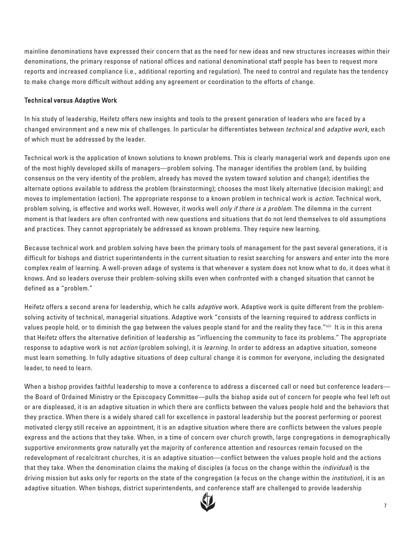mainline denominations have expressed their concern that as the need for new ideas and new structures increases within their denominations, the primary response of national offices and national denominational staff people has been to request more reports and increased compliance (i.e., additional reporting and regulation). The need to control and regulate has the tendency to make change more difficult without adding any agreement or coordination to the efforts of change.

### Technical versus Adaptive Work

In his study of leadership, Heifetz offers new insights and tools to the present generation of leaders who are faced by a changed environment and a new mix of challenges. In particular he differentiates between *technical* and *adaptive work*, each of which must be addressed by the leader.

Technical work is the application of known solutions to known problems. This is clearly managerial work and depends upon one of the most highly developed skills of managers—problem solving. The manager identifies the problem (and, by building consensus on the very identity of the problem, already has moved the system toward solution and change); identifies the alternate options available to address the problem (brainstorming); chooses the most likely alternative (decision making); and moves to implementation (action). The appropriate response to a known problem in technical work is *action*. Technical work, problem solving, is effective and works well. However, it works well *only if there is a problem*. The dilemma in the current moment is that leaders are often confronted with new questions and situations that do not lend themselves to old assumptions and practices. They cannot appropriately be addressed as known problems. They require new learning.

Because technical work and problem solving have been the primary tools of management for the past several generations, it is difficult for bishops and district superintendents in the current situation to resist searching for answers and enter into the more complex realm of learning. A well-proven adage of systems is that whenever a system does not know what to do, it does what it knows. And so leaders overuse their problem-solving skills even when confronted with a changed situation that cannot be defined as a "problem."

Heifetz offers a second arena for leadership, which he calls *adaptive* work. Adaptive work is quite different from the problemsolving activity of technical, managerial situations. Adaptive work "consists of the learning required to address conflicts in values people hold, or to diminish the gap between the values people stand for and the reality they face."vill It is in this arena that Heifetz offers the alternative definition of leadership as "influencing the community to face its problems." The appropriate response to adaptive work is not *action* (problem solving), it is *learning*. In order to address an adaptive situation, someone must learn something. In fully adaptive situations of deep cultural change it is common for everyone, including the designated leader, to need to learn.

When a bishop provides faithful leadership to move a conference to address a discerned call or need but conference leaders the Board of Ordained Ministry or the Episcopacy Committee—pulls the bishop aside out of concern for people who feel left out or are displeased, it is an adaptive situation in which there are conflicts between the values people hold and the behaviors that they practice. When there is a widely shared call for excellence in pastoral leadership but the poorest performing or poorest motivated clergy still receive an appointment, it is an adaptive situation where there are conflicts between the values people express and the actions that they take. When, in a time of concern over church growth, large congregations in demographically supportive environments grow naturally yet the majority of conference attention and resources remain focused on the redevelopment of recalcitrant churches, it is an adaptive situation—conflict between the values people hold and the actions that they take. When the denomination claims the making of disciples (a focus on the change within the *individual*) is the driving mission but asks only for reports on the state of the congregation (a focus on the change within the *institution*), it is an adaptive situation. When bishops, district superintendents, and conference staff are challenged to provide leadership

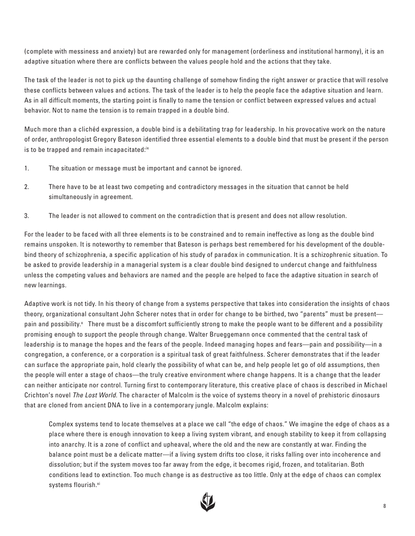(complete with messiness and anxiety) but are rewarded only for management (orderliness and institutional harmony), it is an adaptive situation where there are conflicts between the values people hold and the actions that they take.

The task of the leader is not to pick up the daunting challenge of somehow finding the right answer or practice that will resolve these conflicts between values and actions. The task of the leader is to help the people face the adaptive situation and learn. As in all difficult moments, the starting point is finally to name the tension or conflict between expressed values and actual behavior. Not to name the tension is to remain trapped in a double bind.

Much more than a clichéd expression, a double bind is a debilitating trap for leadership. In his provocative work on the nature of order, anthropologist Gregory Bateson identified three essential elements to a double bind that must be present if the person is to be trapped and remain incapacitated:ix

- 1. The situation or message must be important and cannot be ignored.
- 2. There have to be at least two competing and contradictory messages in the situation that cannot be held simultaneously in agreement.
- 3. The leader is not allowed to comment on the contradiction that is present and does not allow resolution.

For the leader to be faced with all three elements is to be constrained and to remain ineffective as long as the double bind remains unspoken. It is noteworthy to remember that Bateson is perhaps best remembered for his development of the doublebind theory of schizophrenia, a specific application of his study of paradox in communication. It is a schizophrenic situation. To be asked to provide leadership in a managerial system is a clear double bind designed to undercut change and faithfulness unless the competing values and behaviors are named and the people are helped to face the adaptive situation in search of new learnings.

Adaptive work is not tidy. In his theory of change from a systems perspective that takes into consideration the insights of chaos theory, organizational consultant John Scherer notes that in order for change to be birthed, two "parents" must be present pain and possibility.<sup>x</sup> There must be a discomfort sufficiently strong to make the people want to be different and a possibility promising enough to support the people through change. Walter Brueggemann once commented that the central task of leadership is to manage the hopes and the fears of the people. Indeed managing hopes and fears—pain and possibility—in a congregation, a conference, or a corporation is a spiritual task of great faithfulness. Scherer demonstrates that if the leader can surface the appropriate pain, hold clearly the possibility of what can be, and help people let go of old assumptions, then the people will enter a stage of chaos—the truly creative environment where change happens. It is a change that the leader can neither anticipate nor control. Turning first to contemporary literature, this creative place of chaos is described in Michael Crichton's novel *The Lost World*. The character of Malcolm is the voice of systems theory in a novel of prehistoric dinosaurs that are cloned from ancient DNA to live in a contemporary jungle. Malcolm explains:

Complex systems tend to locate themselves at a place we call "the edge of chaos." We imagine the edge of chaos as a place where there is enough innovation to keep a living system vibrant, and enough stability to keep it from collapsing into anarchy. It is a zone of conflict and upheaval, where the old and the new are constantly at war. Finding the balance point must be a delicate matter—if a living system drifts too close, it risks falling over into incoherence and dissolution; but if the system moves too far away from the edge, it becomes rigid, frozen, and totalitarian. Both conditions lead to extinction. Too much change is as destructive as too little. Only at the edge of chaos can complex systems flourish. xi

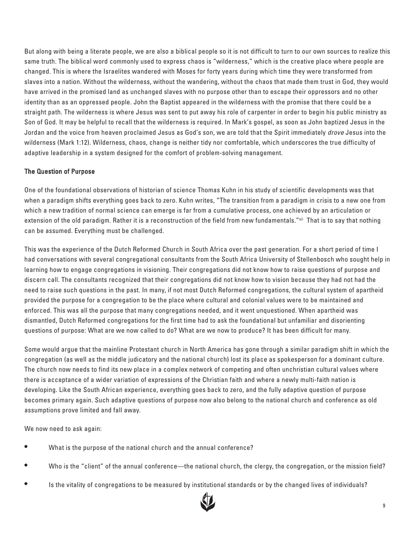But along with being a literate people, we are also a biblical people so it is not difficult to turn to our own sources to realize this same truth. The biblical word commonly used to express chaos is "wilderness," which is the creative place where people are changed. This is where the Israelites wandered with Moses for forty years during which time they were transformed from slaves into a nation. Without the wilderness, without the wandering, without the chaos that made them trust in God, they would have arrived in the promised land as unchanged slaves with no purpose other than to escape their oppressors and no other identity than as an oppressed people. John the Baptist appeared in the wilderness with the promise that there could be a straight path. The wilderness is where Jesus was sent to put away his role of carpenter in order to begin his public ministry as Son of God. It may be helpful to recall that the wilderness is required. In Mark's gospel, as soon as John baptized Jesus in the Jordan and the voice from heaven proclaimed Jesus as God's son, we are told that the Spirit immediately *drove* Jesus into the wilderness (Mark 1:12). Wilderness, chaos, change is neither tidy nor comfortable, which underscores the true difficulty of adaptive leadership in a system designed for the comfort of problem-solving management.

## The Question of Purpose

One of the foundational observations of historian of science Thomas Kuhn in his study of scientific developments was that when a paradigm shifts everything goes back to zero. Kuhn writes, "The transition from a paradigm in crisis to a new one from which a new tradition of normal science can emerge is far from a cumulative process, one achieved by an articulation or extension of the old paradigm. Rather it is a reconstruction of the field from new fundamentals."xii That is to say that nothing can be assumed. Everything must be challenged.

This was the experience of the Dutch Reformed Church in South Africa over the past generation. For a short period of time I had conversations with several congregational consultants from the South Africa University of Stellenbosch who sought help in learning how to engage congregations in visioning. Their congregations did not know how to raise questions of purpose and discern call. The consultants recognized that their congregations did not know how to vision because they had not had the need to raise such questions in the past. In many, if not most Dutch Reformed congregations, the cultural system of apartheid provided the purpose for a congregation to be the place where cultural and colonial values were to be maintained and enforced. This was all the purpose that many congregations needed, and it went unquestioned. When apartheid was dismantled, Dutch Reformed congregations for the first time had to ask the foundational but unfamiliar and disorienting questions of purpose: What are we now called to do? What are we now to produce? It has been difficult for many.

Some would argue that the mainline Protestant church in North America has gone through a similar paradigm shift in which the congregation (as well as the middle judicatory and the national church) lost its place as spokesperson for a dominant culture. The church now needs to find its new place in a complex network of competing and often unchristian cultural values where there is acceptance of a wider variation of expressions of the Christian faith and where a newly multi-faith nation is developing. Like the South African experience, everything goes back to zero, and the fully adaptive question of purpose becomes primary again. Such adaptive questions of purpose now also belong to the national church and conference as old assumptions prove limited and fall away.

We now need to ask again:

- What is the purpose of the national church and the annual conference?
- Who is the "client" of the annual conference—the national church, the clergy, the congregation, or the mission field?
- Is the vitality of congregations to be measured by institutional standards or by the changed lives of individuals?

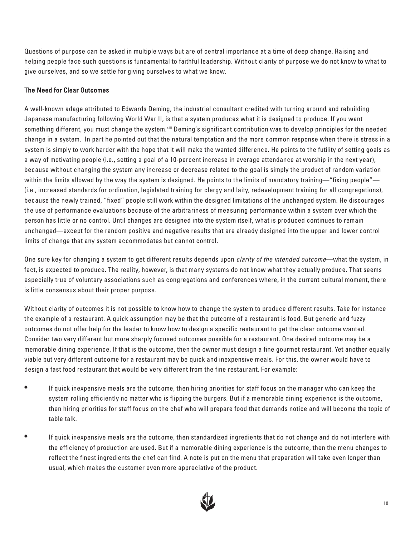Questions of purpose can be asked in multiple ways but are of central importance at a time of deep change. Raising and helping people face such questions is fundamental to faithful leadership. Without clarity of purpose we do not know to what to give ourselves, and so we settle for giving ourselves to what we know.

## The Need for Clear Outcomes

A well-known adage attributed to Edwards Deming, the industrial consultant credited with turning around and rebuilding Japanese manufacturing following World War II, is that a system produces what it is designed to produce. If you want something different, you must change the system.<sup>xiii</sup> Deming's significant contribution was to develop principles for the needed change in a system. In part he pointed out that the natural temptation and the more common response when there is stress in a system is simply to work harder with the hope that it will make the wanted difference. He points to the futility of setting goals as a way of motivating people (i.e., setting a goal of a 10-percent increase in average attendance at worship in the next year), because without changing the system any increase or decrease related to the goal is simply the product of random variation within the limits allowed by the way the system is designed. He points to the limits of mandatory training—"fixing people"— (i.e., increased standards for ordination, legislated training for clergy and laity, redevelopment training for all congregations), because the newly trained, "fixed" people still work within the designed limitations of the unchanged system. He discourages the use of performance evaluations because of the arbitrariness of measuring performance within a system over which the person has little or no control. Until changes are designed into the system itself, what is produced continues to remain unchanged—except for the random positive and negative results that are already designed into the upper and lower control limits of change that any system accommodates but cannot control.

One sure key for changing a system to get different results depends upon *clarity of the intended outcome*—what the system, in fact, is expected to produce. The reality, however, is that many systems do not know what they actually produce. That seems especially true of voluntary associations such as congregations and conferences where, in the current cultural moment, there is little consensus about their proper purpose.

Without clarity of outcomes it is not possible to know how to change the system to produce different results. Take for instance the example of a restaurant. A quick assumption may be that the outcome of a restaurant is food. But generic and fuzzy outcomes do not offer help for the leader to know how to design a specific restaurant to get the clear outcome wanted. Consider two very different but more sharply focused outcomes possible for a restaurant. One desired outcome may be a memorable dining experience. If that is the outcome, then the owner must design a fine gourmet restaurant. Yet another equally viable but very different outcome for a restaurant may be quick and inexpensive meals. For this, the owner would have to design a fast food restaurant that would be very different from the fine restaurant. For example:

- If quick inexpensive meals are the outcome, then hiring priorities for staff focus on the manager who can keep the system rolling efficiently no matter who is flipping the burgers. But if a memorable dining experience is the outcome, then hiring priorities for staff focus on the chef who will prepare food that demands notice and will become the topic of table talk.
- If quick inexpensive meals are the outcome, then standardized ingredients that do not change and do not interfere with the efficiency of production are used. But if a memorable dining experience is the outcome, then the menu changes to reflect the finest ingredients the chef can find. A note is put on the menu that preparation will take even longer than usual, which makes the customer even more appreciative of the product.

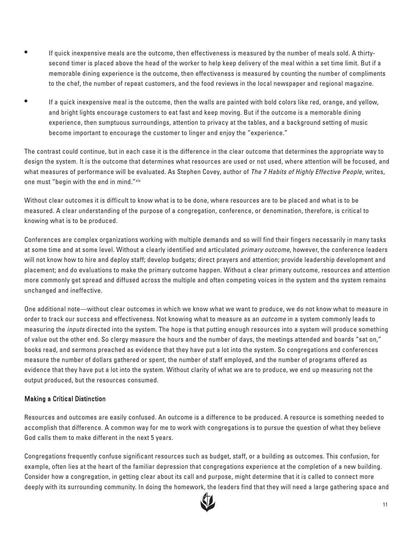- If quick inexpensive meals are the outcome, then effectiveness is measured by the number of meals sold. A thirtysecond timer is placed above the head of the worker to help keep delivery of the meal within a set time limit. But if a memorable dining experience is the outcome, then effectiveness is measured by counting the number of compliments to the chef, the number of repeat customers, and the food reviews in the local newspaper and regional magazine.
- If a quick inexpensive meal is the outcome, then the walls are painted with bold colors like red, orange, and yellow, and bright lights encourage customers to eat fast and keep moving. But if the outcome is a memorable dining experience, then sumptuous surroundings, attention to privacy at the tables, and a background setting of music become important to encourage the customer to linger and enjoy the "experience."

The contrast could continue, but in each case it is the difference in the clear outcome that determines the appropriate way to design the system. It is the outcome that determines what resources are used or not used, where attention will be focused, and what measures of performance will be evaluated. As Stephen Covey, author of *The 7 Habits of Highly Effective People*, writes, one must "begin with the end in mind."xiv

Without clear outcomes it is difficult to know what is to be done, where resources are to be placed and what is to be measured. A clear understanding of the purpose of a congregation, conference, or denomination, therefore, is critical to knowing what is to be produced.

Conferences are complex organizations working with multiple demands and so will find their fingers necessarily in many tasks at some time and at some level. Without a clearly identified and articulated *primary outcome*, however, the conference leaders will not know how to hire and deploy staff; develop budgets; direct prayers and attention; provide leadership development and placement; and do evaluations to make the primary outcome happen. Without a clear primary outcome, resources and attention more commonly get spread and diffused across the multiple and often competing voices in the system and the system remains unchanged and ineffective.

One additional note—without clear outcomes in which we know what we want to produce, we do not know what to measure in order to track our success and effectiveness. Not knowing what to measure as an *outcome* in a system commonly leads to measuring the *inputs* directed into the system. The hope is that putting enough resources into a system will produce something of value out the other end. So clergy measure the hours and the number of days, the meetings attended and boards "sat on," books read, and sermons preached as evidence that they have put a lot into the system. So congregations and conferences measure the number of dollars gathered or spent, the number of staff employed, and the number of programs offered as evidence that they have put a lot into the system. Without clarity of what we are to produce, we end up measuring not the output produced, but the resources consumed.

## Making a Critical Distinction

Resources and outcomes are easily confused. An outcome is a difference to be produced. A resource is something needed to accomplish that difference. A common way for me to work with congregations is to pursue the question of what they believe God calls them to make different in the next 5 years.

Congregations frequently confuse significant resources such as budget, staff, or a building as outcomes. This confusion, for example, often lies at the heart of the familiar depression that congregations experience at the completion of a new building. Consider how a congregation, in getting clear about its call and purpose, might determine that it is called to connect more deeply with its surrounding community. In doing the homework, the leaders find that they will need a large gathering space and

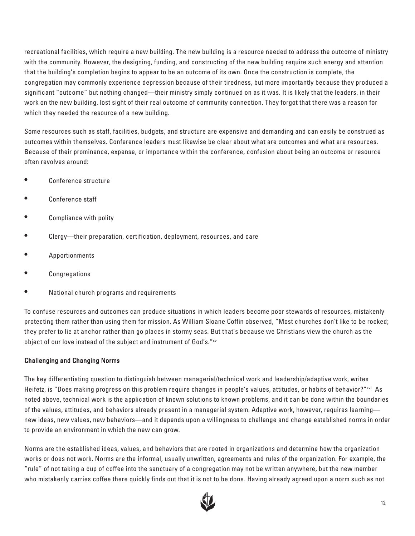recreational facilities, which require a new building. The new building is a resource needed to address the outcome of ministry with the community. However, the designing, funding, and constructing of the new building require such energy and attention that the building's completion begins to appear to be an outcome of its own. Once the construction is complete, the congregation may commonly experience depression because of their tiredness, but more importantly because they produced a significant "outcome" but nothing changed—their ministry simply continued on as it was. It is likely that the leaders, in their work on the new building, lost sight of their real outcome of community connection. They forgot that there was a reason for which they needed the resource of a new building.

Some resources such as staff, facilities, budgets, and structure are expensive and demanding and can easily be construed as outcomes within themselves. Conference leaders must likewise be clear about what are outcomes and what are resources. Because of their prominence, expense, or importance within the conference, confusion about being an outcome or resource often revolves around:

- Conference structure
- Conference staff
- Compliance with polity
- Clergy—their preparation, certification, deployment, resources, and care
- Apportionments
- Congregations
- National church programs and requirements

To confuse resources and outcomes can produce situations in which leaders become poor stewards of resources, mistakenly protecting them rather than using them for mission. As William Sloane Coffin observed, "Most churches don't like to be rocked; they prefer to lie at anchor rather than go places in stormy seas. But that's because we Christians view the church as the object of our love instead of the subject and instrument of God's."xv

#### Challenging and Changing Norms

The key differentiating question to distinguish between managerial/technical work and leadership/adaptive work, writes Heifetz, is "Does making progress on this problem require changes in people's values, attitudes, or habits of behavior?"xvi As noted above, technical work is the application of known solutions to known problems, and it can be done within the boundaries of the values, attitudes, and behaviors already present in a managerial system. Adaptive work, however, requires learning new ideas, new values, new behaviors—and it depends upon a willingness to challenge and change established norms in order to provide an environment in which the new can grow.

Norms are the established ideas, values, and behaviors that are rooted in organizations and determine how the organization works or does not work. Norms are the informal, usually unwritten, agreements and rules of the organization. For example, the "rule" of not taking a cup of coffee into the sanctuary of a congregation may not be written anywhere, but the new member who mistakenly carries coffee there quickly finds out that it is not to be done. Having already agreed upon a norm such as not

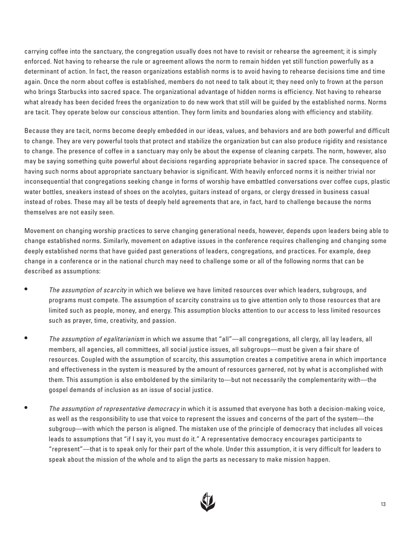carrying coffee into the sanctuary, the congregation usually does not have to revisit or rehearse the agreement; it is simply enforced. Not having to rehearse the rule or agreement allows the norm to remain hidden yet still function powerfully as a determinant of action. In fact, the reason organizations establish norms is to avoid having to rehearse decisions time and time again. Once the norm about coffee is established, members do not need to talk about it; they need only to frown at the person who brings Starbucks into sacred space. The organizational advantage of hidden norms is efficiency. Not having to rehearse what already has been decided frees the organization to do new work that still will be guided by the established norms. Norms are tacit. They operate below our conscious attention. They form limits and boundaries along with efficiency and stability.

Because they are tacit, norms become deeply embedded in our ideas, values, and behaviors and are both powerful and difficult to change. They are very powerful tools that protect and stabilize the organization but can also produce rigidity and resistance to change. The presence of coffee in a sanctuary may only be about the expense of cleaning carpets. The norm, however, also may be saying something quite powerful about decisions regarding appropriate behavior in sacred space. The consequence of having such norms about appropriate sanctuary behavior is significant. With heavily enforced norms it is neither trivial nor inconsequential that congregations seeking change in forms of worship have embattled conversations over coffee cups, plastic water bottles, sneakers instead of shoes on the acolytes, guitars instead of organs, or clergy dressed in business casual instead of robes. These may all be tests of deeply held agreements that are, in fact, hard to challenge because the norms themselves are not easily seen.

Movement on changing worship practices to serve changing generational needs, however, depends upon leaders being able to change established norms. Similarly, movement on adaptive issues in the conference requires challenging and changing some deeply established norms that have guided past generations of leaders, congregations, and practices. For example, deep change in a conference or in the national church may need to challenge some or all of the following norms that can be described as assumptions:

- *The assumption of scarcity* in which we believe we have limited resources over which leaders, subgroups, and programs must compete. The assumption of scarcity constrains us to give attention only to those resources that are limited such as people, money, and energy. This assumption blocks attention to our access to less limited resources such as prayer, time, creativity, and passion.
- *The assumption of egalitarianism* in which we assume that "all"—all congregations, all clergy, all lay leaders, all members, all agencies, all committees, all social justice issues, all subgroups—must be given a fair share of resources. Coupled with the assumption of scarcity, this assumption creates a competitive arena in which importance and effectiveness in the system is measured by the amount of resources garnered, not by what is accomplished with them. This assumption is also emboldened by the similarity to—but not necessarily the complementarity with—the gospel demands of inclusion as an issue of social justice.
- *The assumption of representative democracy* in which it is assumed that everyone has both a decision-making voice, as well as the responsibility to use that voice to represent the issues and concerns of the part of the system—the subgroup—with which the person is aligned. The mistaken use of the principle of democracy that includes all voices leads to assumptions that "if I say it, you must do it." A representative democracy encourages participants to "represent"—that is to speak only for their part of the whole. Under this assumption, it is very difficult for leaders to speak about the mission of the whole and to align the parts as necessary to make mission happen.

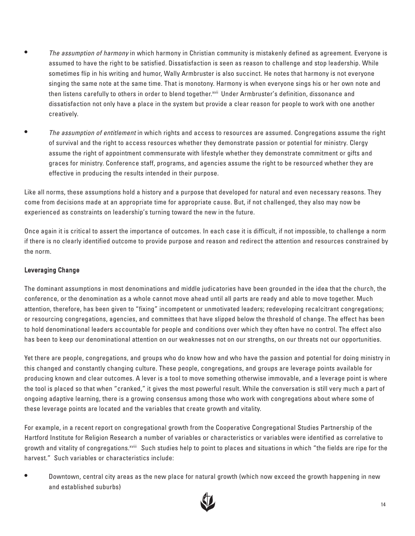- *The assumption of harmony* in which harmony in Christian community is mistakenly defined as agreement. Everyone is assumed to have the right to be satisfied. Dissatisfaction is seen as reason to challenge and stop leadership. While sometimes flip in his writing and humor, Wally Armbruster is also succinct. He notes that harmony is not everyone singing the same note at the same time. That is monotony. Harmony is when everyone sings his or her own note and then listens carefully to others in order to blend together.<sup>xvii</sup> Under Armbruster's definition, dissonance and dissatisfaction not only have a place in the system but provide a clear reason for people to work with one another creatively.
- *The assumption of entitlement* in which rights and access to resources are assumed. Congregations assume the right of survival and the right to access resources whether they demonstrate passion or potential for ministry. Clergy assume the right of appointment commensurate with lifestyle whether they demonstrate commitment or gifts and graces for ministry. Conference staff, programs, and agencies assume the right to be resourced whether they are effective in producing the results intended in their purpose.

Like all norms, these assumptions hold a history and a purpose that developed for natural and even necessary reasons. They come from decisions made at an appropriate time for appropriate cause. But, if not challenged, they also may now be experienced as constraints on leadership's turning toward the new in the future.

Once again it is critical to assert the importance of outcomes. In each case it is difficult, if not impossible, to challenge a norm if there is no clearly identified outcome to provide purpose and reason and redirect the attention and resources constrained by the norm.

## Leveraging Change

The dominant assumptions in most denominations and middle judicatories have been grounded in the idea that the church, the conference, or the denomination as a whole cannot move ahead until all parts are ready and able to move together. Much attention, therefore, has been given to "fixing" incompetent or unmotivated leaders; redeveloping recalcitrant congregations; or resourcing congregations, agencies, and committees that have slipped below the threshold of change. The effect has been to hold denominational leaders accountable for people and conditions over which they often have no control. The effect also has been to keep our denominational attention on our weaknesses not on our strengths, on our threats not our opportunities.

Yet there are people, congregations, and groups who do know how and who have the passion and potential for doing ministry in this changed and constantly changing culture. These people, congregations, and groups are leverage points available for producing known and clear outcomes. A lever is a tool to move something otherwise immovable, and a leverage point is where the tool is placed so that when "cranked," it gives the most powerful result. While the conversation is still very much a part of ongoing adaptive learning, there is a growing consensus among those who work with congregations about where some of these leverage points are located and the variables that create growth and vitality.

For example, in a recent report on congregational growth from the Cooperative Congregational Studies Partnership of the Hartford Institute for Religion Research a number of variables or characteristics or variables were identified as correlative to growth and vitality of congregations.<sup>xviii</sup> Such studies help to point to places and situations in which "the fields are ripe for the harvest." Such variables or characteristics include:

• Downtown, central city areas as the new place for natural growth (which now exceed the growth happening in new and established suburbs)

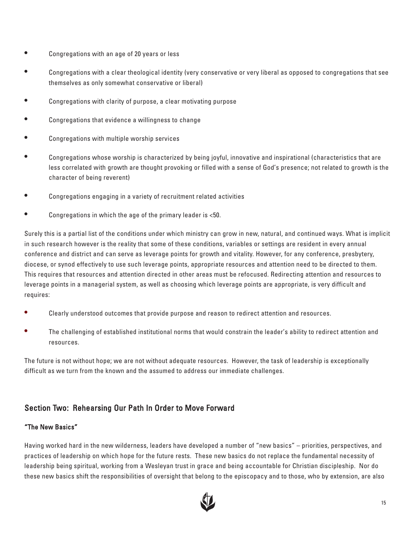- Congregations with an age of 20 years or less
- Congregations with a clear theological identity (very conservative or very liberal as opposed to congregations that see themselves as only somewhat conservative or liberal)
- Congregations with clarity of purpose, a clear motivating purpose
- Congregations that evidence a willingness to change
- Congregations with multiple worship services
- Congregations whose worship is characterized by being joyful, innovative and inspirational (characteristics that are less correlated with growth are thought provoking or filled with a sense of God's presence; not related to growth is the character of being reverent)
- Congregations engaging in a variety of recruitment related activities
- Congregations in which the age of the primary leader is <50.

Surely this is a partial list of the conditions under which ministry can grow in new, natural, and continued ways. What is implicit in such research however is the reality that some of these conditions, variables or settings are resident in every annual conference and district and can serve as leverage points for growth and vitality. However, for any conference, presbytery, diocese, or synod effectively to use such leverage points, appropriate resources and attention need to be directed to them. This requires that resources and attention directed in other areas must be refocused. Redirecting attention and resources to leverage points in a managerial system, as well as choosing which leverage points are appropriate, is very difficult and requires:

- Clearly understood outcomes that provide purpose and reason to redirect attention and resources.
- The challenging of established institutional norms that would constrain the leader's ability to redirect attention and resources.

The future is not without hope; we are not without adequate resources. However, the task of leadership is exceptionally difficult as we turn from the known and the assumed to address our immediate challenges.

## Section Two: Rehearsing Our Path In Order to Move Forward

## "The New Basics"

Having worked hard in the new wilderness, leaders have developed a number of "new basics" – priorities, perspectives, and practices of leadership on which hope for the future rests. These new basics do not replace the fundamental necessity of leadership being spiritual, working from a Wesleyan trust in grace and being accountable for Christian discipleship. Nor do these new basics shift the responsibilities of oversight that belong to the episcopacy and to those, who by extension, are also

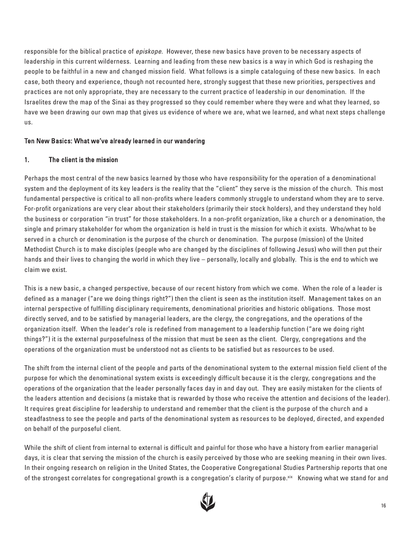responsible for the biblical practice of *episkope*. However, these new basics have proven to be necessary aspects of leadership in this current wilderness. Learning and leading from these new basics is a way in which God is reshaping the people to be faithful in a new and changed mission field. What follows is a simple cataloguing of these new basics. In each case, both theory and experience, though not recounted here, strongly suggest that these new priorities, perspectives and practices are not only appropriate, they are necessary to the current practice of leadership in our denomination. If the Israelites drew the map of the Sinai as they progressed so they could remember where they were and what they learned, so have we been drawing our own map that gives us evidence of where we are, what we learned, and what next steps challenge us.

#### Ten New Basics: What we've already learned in our wandering

#### 1. The client is the mission

Perhaps the most central of the new basics learned by those who have responsibility for the operation of a denominational system and the deployment of its key leaders is the reality that the "client" they serve is the mission of the church. This most fundamental perspective is critical to all non-profits where leaders commonly struggle to understand whom they are to serve. For-profit organizations are very clear about their stakeholders (primarily their stock holders), and they understand they hold the business or corporation "in trust" for those stakeholders. In a non-profit organization, like a church or a denomination, the single and primary stakeholder for whom the organization is held in trust is the mission for which it exists. Who/what to be served in a church or denomination is the purpose of the church or denomination. The purpose (mission) of the United Methodist Church is to make disciples (people who are changed by the disciplines of following Jesus) who will then put their hands and their lives to changing the world in which they live – personally, locally and globally. This is the end to which we claim we exist.

This is a new basic, a changed perspective, because of our recent history from which we come. When the role of a leader is defined as a manager ("are we doing things right?") then the client is seen as the institution itself. Management takes on an internal perspective of fulfilling disciplinary requirements, denominational priorities and historic obligations. Those most directly served, and to be satisfied by managerial leaders, are the clergy, the congregations, and the operations of the organization itself. When the leader's role is redefined from management to a leadership function ("are we doing right things?") it is the external purposefulness of the mission that must be seen as the client. Clergy, congregations and the operations of the organization must be understood not as clients to be satisfied but as resources to be used.

The shift from the internal client of the people and parts of the denominational system to the external mission field client of the purpose for which the denominational system exists is exceedingly difficult because it is the clergy, congregations and the operations of the organization that the leader personally faces day in and day out. They are easily mistaken for the clients of the leaders attention and decisions (a mistake that is rewarded by those who receive the attention and decisions of the leader). It requires great discipline for leadership to understand and remember that the client is the purpose of the church and a steadfastness to see the people and parts of the denominational system as resources to be deployed, directed, and expended on behalf of the purposeful client.

While the shift of client from internal to external is difficult and painful for those who have a history from earlier managerial days, it is clear that serving the mission of the church is easily perceived by those who are seeking meaning in their own lives. In their ongoing research on religion in the United States, the Cooperative Congregational Studies Partnership reports that one of the strongest correlates for congregational growth is a congregation's clarity of purpose.¤ix Knowing what we stand for and

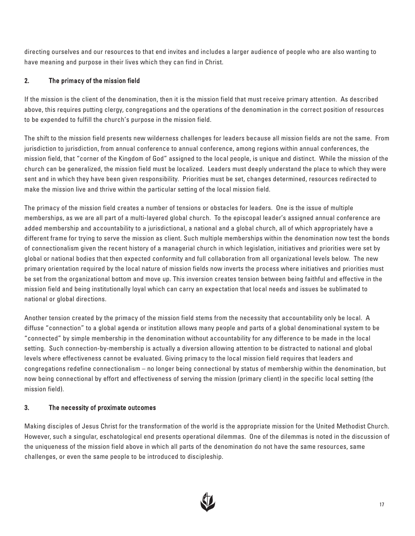directing ourselves and our resources to that end invites and includes a larger audience of people who are also wanting to have meaning and purpose in their lives which they can find in Christ.

## 2. The primacy of the mission field

If the mission is the client of the denomination, then it is the mission field that must receive primary attention. As described above, this requires putting clergy, congregations and the operations of the denomination in the correct position of resources to be expended to fulfill the church's purpose in the mission field.

The shift to the mission field presents new wilderness challenges for leaders because all mission fields are not the same. From jurisdiction to jurisdiction, from annual conference to annual conference, among regions within annual conferences, the mission field, that "corner of the Kingdom of God" assigned to the local people, is unique and distinct. While the mission of the church can be generalized, the mission field must be localized. Leaders must deeply understand the place to which they were sent and in which they have been given responsibility. Priorities must be set, changes determined, resources redirected to make the mission live and thrive within the particular setting of the local mission field.

The primacy of the mission field creates a number of tensions or obstacles for leaders. One is the issue of multiple memberships, as we are all part of a multi-layered global church. To the episcopal leader's assigned annual conference are added membership and accountability to a jurisdictional, a national and a global church, all of which appropriately have a different frame for trying to serve the mission as client. Such multiple memberships within the denomination now test the bonds of connectionalism given the recent history of a managerial church in which legislation, initiatives and priorities were set by global or national bodies that then expected conformity and full collaboration from all organizational levels below. The new primary orientation required by the local nature of mission fields now inverts the process where initiatives and priorities must be set from the organizational bottom and move up. This inversion creates tension between being faithful and effective in the mission field and being institutionally loyal which can carry an expectation that local needs and issues be sublimated to national or global directions.

Another tension created by the primacy of the mission field stems from the necessity that accountability only be local. A diffuse "connection" to a global agenda or institution allows many people and parts of a global denominational system to be "connected" by simple membership in the denomination without accountability for any difference to be made in the local setting. Such connection-by-membership is actually a diversion allowing attention to be distracted to national and global levels where effectiveness cannot be evaluated. Giving primacy to the local mission field requires that leaders and congregations redefine connectionalism – no longer being connectional by status of membership within the denomination, but now being connectional by effort and effectiveness of serving the mission (primary client) in the specific local setting (the mission field).

## 3. The necessity of proximate outcomes

Making disciples of Jesus Christ for the transformation of the world is the appropriate mission for the United Methodist Church. However, such a singular, eschatological end presents operational dilemmas. One of the dilemmas is noted in the discussion of the uniqueness of the mission field above in which all parts of the denomination do not have the same resources, same challenges, or even the same people to be introduced to discipleship.

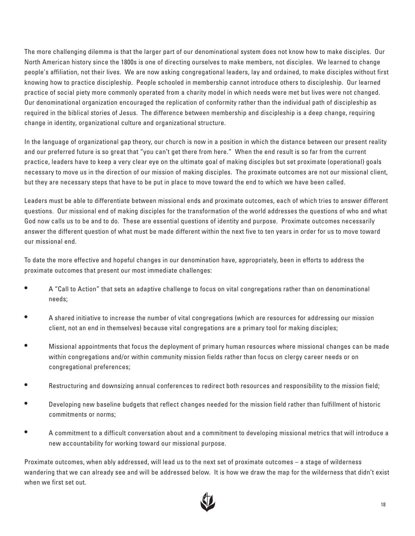The more challenging dilemma is that the larger part of our denominational system does not know how to make disciples. Our North American history since the 1800s is one of directing ourselves to make members, not disciples. We learned to change people's affiliation, not their lives. We are now asking congregational leaders, lay and ordained, to make disciples without first knowing how to practice discipleship. People schooled in membership cannot introduce others to discipleship. Our learned practice of social piety more commonly operated from a charity model in which needs were met but lives were not changed. Our denominational organization encouraged the replication of conformity rather than the individual path of discipleship as required in the biblical stories of Jesus. The difference between membership and discipleship is a deep change, requiring change in identity, organizational culture and organizational structure.

In the language of organizational gap theory, our church is now in a position in which the distance between our present reality and our preferred future is so great that "you can't get there from here." When the end result is so far from the current practice, leaders have to keep a very clear eye on the ultimate goal of making disciples but set proximate (operational) goals necessary to move us in the direction of our mission of making disciples. The proximate outcomes are not our missional client, but they are necessary steps that have to be put in place to move toward the end to which we have been called.

Leaders must be able to differentiate between missional ends and proximate outcomes, each of which tries to answer different questions. Our missional end of making disciples for the transformation of the world addresses the questions of who and what God now calls us to be and to do. These are essential questions of identity and purpose. Proximate outcomes necessarily answer the different question of what must be made different within the next five to ten years in order for us to move toward our missional end.

To date the more effective and hopeful changes in our denomination have, appropriately, been in efforts to address the proximate outcomes that present our most immediate challenges:

- A "Call to Action" that sets an adaptive challenge to focus on vital congregations rather than on denominational needs;
- A shared initiative to increase the number of vital congregations (which are resources for addressing our mission client, not an end in themselves) because vital congregations are a primary tool for making disciples;
- Missional appointments that focus the deployment of primary human resources where missional changes can be made within congregations and/or within community mission fields rather than focus on clergy career needs or on congregational preferences;
- Restructuring and downsizing annual conferences to redirect both resources and responsibility to the mission field;
- Developing new baseline budgets that reflect changes needed for the mission field rather than fulfillment of historic commitments or norms;
- A commitment to a difficult conversation about and a commitment to developing missional metrics that will introduce a new accountability for working toward our missional purpose.

Proximate outcomes, when ably addressed, will lead us to the next set of proximate outcomes – a stage of wilderness wandering that we can already see and will be addressed below. It is how we draw the map for the wilderness that didn't exist when we first set out.

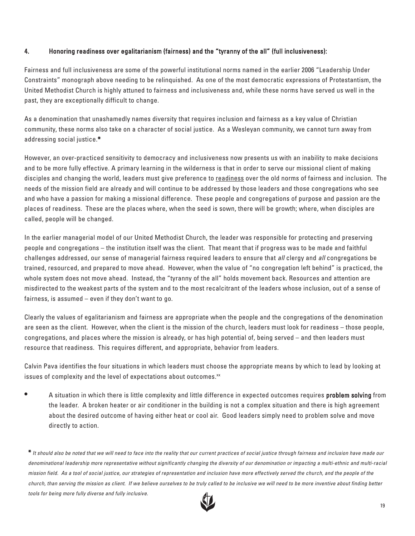## 4. Honoring readiness over egalitarianism (fairness) and the "tyranny of the all" (full inclusiveness):

Fairness and full inclusiveness are some of the powerful institutional norms named in the earlier 2006 "Leadership Under Constraints" monograph above needing to be relinquished. As one of the most democratic expressions of Protestantism, the United Methodist Church is highly attuned to fairness and inclusiveness and, while these norms have served us well in the past, they are exceptionally difficult to change.

As a denomination that unashamedly names diversity that requires inclusion and fairness as a key value of Christian community, these norms also take on a character of social justice. As a Wesleyan community, we cannot turn away from addressing social justice.\*

However, an over-practiced sensitivity to democracy and inclusiveness now presents us with an inability to make decisions and to be more fully effective. A primary learning in the wilderness is that in order to serve our missional client of making disciples and changing the world, leaders must give preference to readiness over the old norms of fairness and inclusion. The needs of the mission field are already and will continue to be addressed by those leaders and those congregations who see and who have a passion for making a missional difference. These people and congregations of purpose and passion are the places of readiness. These are the places where, when the seed is sown, there will be growth; where, when disciples are called, people will be changed.

In the earlier managerial model of our United Methodist Church, the leader was responsible for protecting and preserving people and congregations – the institution itself was the client. That meant that if progress was to be made and faithful challenges addressed, our sense of managerial fairness required leaders to ensure that *all* clergy and *all* congregations be trained, resourced, and prepared to move ahead. However, when the value of "no congregation left behind" is practiced, the whole system does not move ahead. Instead, the "tyranny of the all" holds movement back. Resources and attention are misdirected to the weakest parts of the system and to the most recalcitrant of the leaders whose inclusion, out of a sense of fairness, is assumed – even if they don't want to go.

Clearly the values of egalitarianism and fairness are appropriate when the people and the congregations of the denomination are seen as the client. However, when the client is the mission of the church, leaders must look for readiness – those people, congregations, and places where the mission is already, or has high potential of, being served – and then leaders must resource that readiness. This requires different, and appropriate, behavior from leaders.

Calvin Pava identifies the four situations in which leaders must choose the appropriate means by which to lead by looking at issues of complexity and the level of expectations about outcomes. $^{\mathrm{xx}}$ 

• A situation in which there is little complexity and little difference in expected outcomes requires problem solving from the leader. A broken heater or air conditioner in the building is not a complex situation and there is high agreement about the desired outcome of having either heat or cool air. Good leaders simply need to problem solve and move directly to action.

\* It should also be noted that we will need to face into the reality that our current practices of social justice through fairness and inclusion have made our denominational leadership more representative without significantly changing the diversity of our denomination or impacting a multi-ethnic and multi-racial mission field. As a tool of social justice, our strategies of representation and inclusion have more effectively served the church, and the people of the church, than serving the mission as client. If we believe ourselves to be truly called to be inclusive we will need to be more inventive about finding better *tools for being more fully diverse and fully inclusive.*

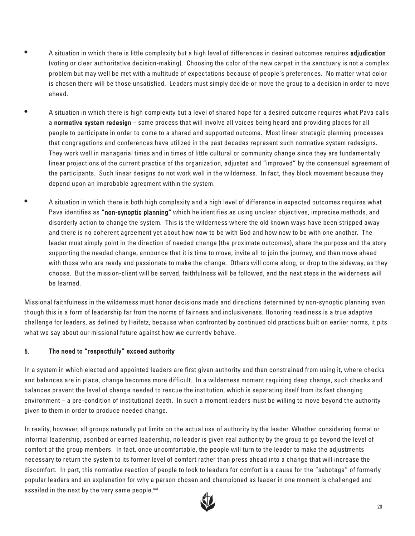- A situation in which there is little complexity but a high level of differences in desired outcomes requires adjudication (voting or clear authoritative decision-making). Choosing the color of the new carpet in the sanctuary is not a complex problem but may well be met with a multitude of expectations because of people's preferences. No matter what color is chosen there will be those unsatisfied. Leaders must simply decide or move the group to a decision in order to move ahead.
- A situation in which there is high complexity but a level of shared hope for a desired outcome requires what Pava calls a normative system redesign – some process that will involve all voices being heard and providing places for all people to participate in order to come to a shared and supported outcome. Most linear strategic planning processes that congregations and conferences have utilized in the past decades represent such normative system redesigns. They work well in managerial times and in times of little cultural or community change since they are fundamentally linear projections of the current practice of the organization, adjusted and "improved" by the consensual agreement of the participants. Such linear designs do not work well in the wilderness. In fact, they block movement because they depend upon an improbable agreement within the system.
- A situation in which there is both high complexity and a high level of difference in expected outcomes requires what Pava identifies as "non-synoptic planning" which he identifies as using unclear objectives, imprecise methods, and disorderly action to change the system. This is the wilderness where the old known ways have been stripped away and there is no coherent agreement yet about how now to be with God and how now to be with one another. The leader must simply point in the direction of needed change (the proximate outcomes), share the purpose and the story supporting the needed change, announce that it is time to move, invite all to join the journey, and then move ahead with those who are ready and passionate to make the change. Others will come along, or drop to the sideway, as they choose. But the mission-client will be served, faithfulness will be followed, and the next steps in the wilderness will be learned.

Missional faithfulness in the wilderness must honor decisions made and directions determined by non-synoptic planning even though this is a form of leadership far from the norms of fairness and inclusiveness. Honoring readiness is a true adaptive challenge for leaders, as defined by Heifetz, because when confronted by continued old practices built on earlier norms, it pits what we say about our missional future against how we currently behave.

## 5. The need to "respectfully" exceed authority

In a system in which elected and appointed leaders are first given authority and then constrained from using it, where checks and balances are in place, change becomes more difficult. In a wilderness moment requiring deep change, such checks and balances prevent the level of change needed to rescue the institution, which is separating itself from its fast changing environment – a pre-condition of institutional death. In such a moment leaders must be willing to move beyond the authority given to them in order to produce needed change.

In reality, however, all groups naturally put limits on the actual use of authority by the leader. Whether considering formal or informal leadership, ascribed or earned leadership, no leader is given real authority by the group to go beyond the level of comfort of the group members. In fact, once uncomfortable, the people will turn to the leader to make the adjustments necessary to return the system to its former level of comfort rather than press ahead into a change that will increase the discomfort. In part, this normative reaction of people to look to leaders for comfort is a cause for the "sabotage" of formerly popular leaders and an explanation for why a person chosen and championed as leader in one moment is challenged and assailed in the next by the very same people.xxi

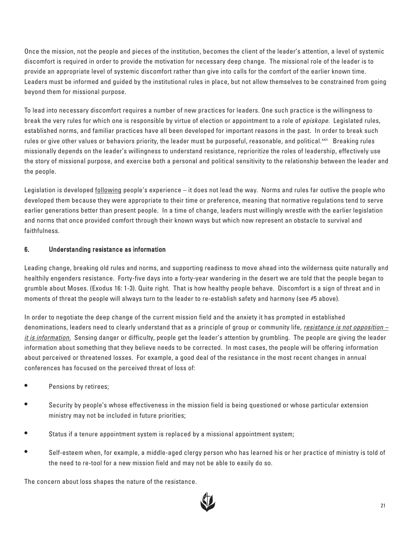Once the mission, not the people and pieces of the institution, becomes the client of the leader's attention, a level of systemic discomfort is required in order to provide the motivation for necessary deep change. The missional role of the leader is to provide an appropriate level of systemic discomfort rather than give into calls for the comfort of the earlier known time. Leaders must be informed and guided by the institutional rules in place, but not allow themselves to be constrained from going beyond them for missional purpose.

To lead into necessary discomfort requires a number of new practices for leaders. One such practice is the willingness to break the very rules for which one is responsible by virtue of election or appointment to a role of *episkope*. Legislated rules, established norms, and familiar practices have all been developed for important reasons in the past. In order to break such rules or give other values or behaviors priority, the leader must be purposeful, reasonable, and political.¤¤ii Breaking rules missionally depends on the leader's willingness to understand resistance, reprioritize the roles of leadership, effectively use the story of missional purpose, and exercise both a personal and political sensitivity to the relationship between the leader and the people.

Legislation is developed *following* people's experience – it does not lead the way. Norms and rules far outlive the people who developed them because they were appropriate to their time or preference, meaning that normative regulations tend to serve earlier generations better than present people. In a time of change, leaders must willingly wrestle with the earlier legislation and norms that once provided comfort through their known ways but which now represent an obstacle to survival and faithfulness.

## 6. Understanding resistance as information

Leading change, breaking old rules and norms, and supporting readiness to move ahead into the wilderness quite naturally and healthily engenders resistance. Forty-five days into a forty-year wandering in the desert we are told that the people began to grumble about Moses. (Exodus 16: 1-3). Quite right. That is how healthy people behave. Discomfort is a sign of threat and in moments of threat the people will always turn to the leader to re-establish safety and harmony (see #5 above).

In order to negotiate the deep change of the current mission field and the anxiety it has prompted in established denominations, leaders need to clearly understand that as a principle of group or community life, *resistance is not opposition – it is information.* Sensing danger or difficulty, people get the leader's attention by grumbling. The people are giving the leader information about something that they believe needs to be corrected. In most cases, the people will be offering information about perceived or threatened losses. For example, a good deal of the resistance in the most recent changes in annual conferences has focused on the perceived threat of loss of:

- Pensions by retirees;
- Security by people's whose effectiveness in the mission field is being questioned or whose particular extension ministry may not be included in future priorities;
- Status if a tenure appointment system is replaced by a missional appointment system;
- Self-esteem when, for example, a middle-aged clergy person who has learned his or her practice of ministry is told of the need to re-tool for a new mission field and may not be able to easily do so.

The concern about loss shapes the nature of the resistance.

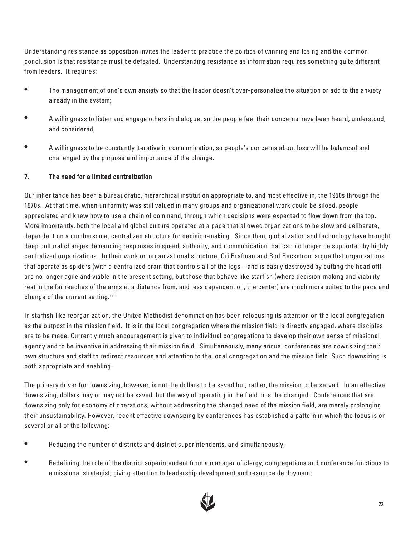Understanding resistance as opposition invites the leader to practice the politics of winning and losing and the common conclusion is that resistance must be defeated. Understanding resistance as information requires something quite different from leaders. It requires:

- The management of one's own anxiety so that the leader doesn't over-personalize the situation or add to the anxiety already in the system;
- A willingness to listen and engage others in dialogue, so the people feel their concerns have been heard, understood, and considered;
- A willingness to be constantly iterative in communication, so people's concerns about loss will be balanced and challenged by the purpose and importance of the change.

## 7. The need for a limited centralization

Our inheritance has been a bureaucratic, hierarchical institution appropriate to, and most effective in, the 1950s through the 1970s. At that time, when uniformity was still valued in many groups and organizational work could be siloed, people appreciated and knew how to use a chain of command, through which decisions were expected to flow down from the top. More importantly, both the local and global culture operated at a pace that allowed organizations to be slow and deliberate, dependent on a cumbersome, centralized structure for decision-making. Since then, globalization and technology have brought deep cultural changes demanding responses in speed, authority, and communication that can no longer be supported by highly centralized organizations. In their work on organizational structure, Ori Brafman and Rod Beckstrom argue that organizations that operate as spiders (with a centralized brain that controls all of the legs – and is easily destroyed by cutting the head off) are no longer agile and viable in the present setting, but those that behave like starfish (where decision-making and viability rest in the far reaches of the arms at a distance from, and less dependent on, the center) are much more suited to the pace and change of the current setting. xxiii

In starfish-like reorganization, the United Methodist denomination has been refocusing its attention on the local congregation as the outpost in the mission field. It is in the local congregation where the mission field is directly engaged, where disciples are to be made. Currently much encouragement is given to individual congregations to develop their own sense of missional agency and to be inventive in addressing their mission field. Simultaneously, many annual conferences are downsizing their own structure and staff to redirect resources and attention to the local congregation and the mission field. Such downsizing is both appropriate and enabling.

The primary driver for downsizing, however, is not the dollars to be saved but, rather, the mission to be served. In an effective downsizing, dollars may or may not be saved, but the way of operating in the field must be changed. Conferences that are downsizing only for economy of operations, without addressing the changed need of the mission field, are merely prolonging their unsustainability. However, recent effective downsizing by conferences has established a pattern in which the focus is on several or all of the following:

- Reducing the number of districts and district superintendents, and simultaneously;
- Redefining the role of the district superintendent from a manager of clergy, congregations and conference functions to a missional strategist, giving attention to leadership development and resource deployment;

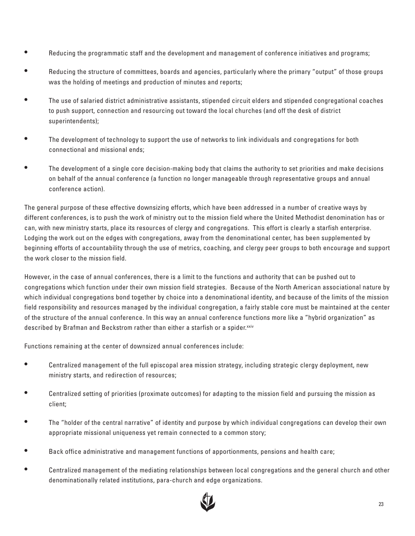- Reducing the programmatic staff and the development and management of conference initiatives and programs;
- Reducing the structure of committees, boards and agencies, particularly where the primary "output" of those groups was the holding of meetings and production of minutes and reports;
- The use of salaried district administrative assistants, stipended circuit elders and stipended congregational coaches to push support, connection and resourcing out toward the local churches (and off the desk of district superintendents);
- The development of technology to support the use of networks to link individuals and congregations for both connectional and missional ends;
- The development of a single core decision-making body that claims the authority to set priorities and make decisions on behalf of the annual conference (a function no longer manageable through representative groups and annual conference action).

The general purpose of these effective downsizing efforts, which have been addressed in a number of creative ways by different conferences, is to push the work of ministry out to the mission field where the United Methodist denomination has or can, with new ministry starts, place its resources of clergy and congregations. This effort is clearly a starfish enterprise. Lodging the work out on the edges with congregations, away from the denominational center, has been supplemented by beginning efforts of accountability through the use of metrics, coaching, and clergy peer groups to both encourage and support the work closer to the mission field.

However, in the case of annual conferences, there is a limit to the functions and authority that can be pushed out to congregations which function under their own mission field strategies. Because of the North American associational nature by which individual congregations bond together by choice into a denominational identity, and because of the limits of the mission field responsibility and resources managed by the individual congregation, a fairly stable core must be maintained at the center of the structure of the annual conference. In this way an annual conference functions more like a "hybrid organization" as described by Brafman and Beckstrom rather than either a starfish or a spider.<sup>xxiv</sup>

Functions remaining at the center of downsized annual conferences include:

- Centralized management of the full episcopal area mission strategy, including strategic clergy deployment, new ministry starts, and redirection of resources;
- Centralized setting of priorities (proximate outcomes) for adapting to the mission field and pursuing the mission as client;
- The "holder of the central narrative" of identity and purpose by which individual congregations can develop their own appropriate missional uniqueness yet remain connected to a common story;
- Back office administrative and management functions of apportionments, pensions and health care;
- Centralized management of the mediating relationships between local congregations and the general church and other denominationally related institutions, para-church and edge organizations.

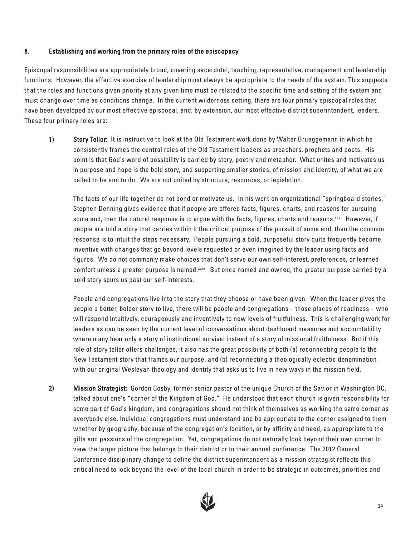#### 8. Establishing and working from the primary roles of the episcopacy

Episcopal responsibilities are appropriately broad, covering sacerdotal, teaching, representative, management and leadership functions. However, the effective exercise of leadership must always be appropriate to the needs of the system. This suggests that the roles and functions given priority at any given time must be related to the specific time and setting of the system and must change over time as conditions change. In the current wilderness setting, there are four primary episcopal roles that have been developed by our most effective episcopal, and, by extension, our most effective district superintendent, leaders. These four primary roles are:

1) Story Teller: It is instructive to look at the Old Testament work done by Walter Brueggemann in which he consistently frames the central roles of the Old Testament leaders as preachers, prophets and poets. His point is that God's word of possibility is carried by story, poetry and metaphor. What unites and motivates us in purpose and hope is the bold story, and supporting smaller stories, of mission and identity, of what we are called to be and to do. We are not united by structure, resources, or legislation.

The facts of our life together do not bond or motivate us. In his work on organizational "springboard stories," Stephen Denning gives evidence that if people are offered facts, figures, charts, and reasons for pursuing some end, then the natural response is to argue with the facts, figures, charts and reasons. $^{\rm xsv}$  However, if people are told a story that carries within it the critical purpose of the pursuit of some end, then the common response is to intuit the steps necessary. People pursuing a bold, purposeful story quite frequently become inventive with changes that go beyond levels requested or even imagined by the leader using facts and figures. We do not commonly make choices that don't serve our own self-interest, preferences, or learned comfort unless a greater purpose is named.<sup>xxvi</sup> But once named and owned, the greater purpose carried by a bold story spurs us past our self-interests.

People and congregations live into the story that they choose or have been given. When the leader gives the people a better, bolder story to live, there will be people and congregations – those places of readiness – who will respond intuitively, courageously and inventively to new levels of fruitfulness. This is challenging work for leaders as can be seen by the current level of conversations about dashboard measures and accountability where many hear only a story of institutional survival instead of a story of missional fruitfulness. But if this role of story teller offers challenges, it also has the great possibility of both (a) reconnecting people to the New Testament story that frames our purpose, and (b) reconnecting a theologically eclectic denomination with our original Wesleyan theology and identity that asks us to live in new ways in the mission field.

2) Mission Strategist: Gordon Cosby, former senior pastor of the unique Church of the Savior in Washington DC, talked about one's "corner of the Kingdom of God." He understood that each church is given responsibility for some part of God's kingdom, and congregations should not think of themselves as working the same corner as everybody else. Individual congregations must understand and be appropriate to the corner assigned to them whether by geography, because of the congregation's location, or by affinity and need, as appropriate to the gifts and passions of the congregation. Yet, congregations do not naturally look beyond their own corner to view the larger picture that belongs to their district or to their annual conference. The 2012 General Conference disciplinary change to define the district superintendent as a mission strategist reflects this critical need to look beyond the level of the local church in order to be strategic in outcomes, priorities and

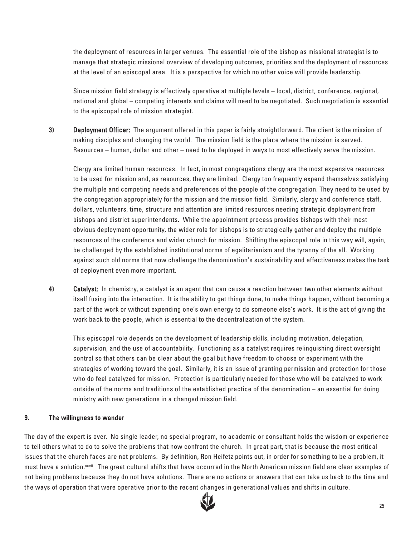the deployment of resources in larger venues. The essential role of the bishop as missional strategist is to manage that strategic missional overview of developing outcomes, priorities and the deployment of resources at the level of an episcopal area. It is a perspective for which no other voice will provide leadership.

Since mission field strategy is effectively operative at multiple levels – local, district, conference, regional, national and global – competing interests and claims will need to be negotiated. Such negotiation is essential to the episcopal role of mission strategist.

3) Deployment Officer: The argument offered in this paper is fairly straightforward. The client is the mission of making disciples and changing the world. The mission field is the place where the mission is served. Resources – human, dollar and other – need to be deployed in ways to most effectively serve the mission.

Clergy are limited human resources. In fact, in most congregations clergy are the most expensive resources to be used for mission and, as resources, they are limited. Clergy too frequently expend themselves satisfying the multiple and competing needs and preferences of the people of the congregation. They need to be used by the congregation appropriately for the mission and the mission field. Similarly, clergy and conference staff, dollars, volunteers, time, structure and attention are limited resources needing strategic deployment from bishops and district superintendents. While the appointment process provides bishops with their most obvious deployment opportunity, the wider role for bishops is to strategically gather and deploy the multiple resources of the conference and wider church for mission. Shifting the episcopal role in this way will, again, be challenged by the established institutional norms of egalitarianism and the tyranny of the all. Working against such old norms that now challenge the denomination's sustainability and effectiveness makes the task of deployment even more important.

4) Catalyst: In chemistry, a catalyst is an agent that can cause a reaction between two other elements without itself fusing into the interaction. It is the ability to get things done, to make things happen, without becoming a part of the work or without expending one's own energy to do someone else's work. It is the act of giving the work back to the people, which is essential to the decentralization of the system.

This episcopal role depends on the development of leadership skills, including motivation, delegation, supervision, and the use of accountability. Functioning as a catalyst requires relinquishing direct oversight control so that others can be clear about the goal but have freedom to choose or experiment with the strategies of working toward the goal. Similarly, it is an issue of granting permission and protection for those who do feel catalyzed for mission. Protection is particularly needed for those who will be catalyzed to work outside of the norms and traditions of the established practice of the denomination – an essential for doing ministry with new generations in a changed mission field.

#### 9. The willingness to wander

The day of the expert is over. No single leader, no special program, no academic or consultant holds the wisdom or experience to tell others what to do to solve the problems that now confront the church. In great part, that is because the most critical issues that the church faces are not problems. By definition, Ron Heifetz points out, in order for something to be a problem, it must have a solution.<sup>xxvii</sup> The great cultural shifts that have occurred in the North American mission field are clear examples of not being problems because they do not have solutions. There are no actions or answers that can take us back to the time and the ways of operation that were operative prior to the recent changes in generational values and shifts in culture.

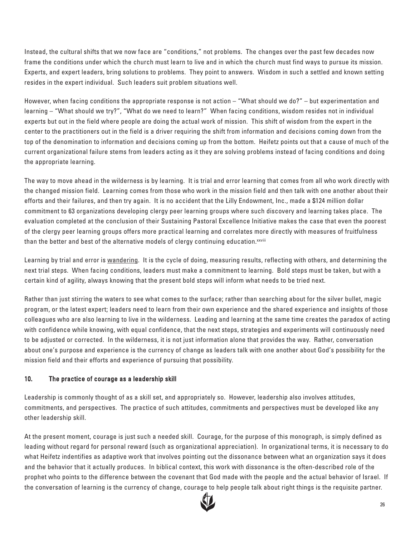Instead, the cultural shifts that we now face are "conditions," not problems. The changes over the past few decades now frame the conditions under which the church must learn to live and in which the church must find ways to pursue its mission. Experts, and expert leaders, bring solutions to problems. They point to answers. Wisdom in such a settled and known setting resides in the expert individual. Such leaders suit problem situations well.

However, when facing conditions the appropriate response is not action – "What should we do?" – but experimentation and learning – "What should we try?", "What do we need to learn?" When facing conditions, wisdom resides not in individual experts but out in the field where people are doing the actual work of mission. This shift of wisdom from the expert in the center to the practitioners out in the field is a driver requiring the shift from information and decisions coming down from the top of the denomination to information and decisions coming up from the bottom. Heifetz points out that a cause of much of the current organizational failure stems from leaders acting as it they are solving problems instead of facing conditions and doing the appropriate learning.

The way to move ahead in the wilderness is by learning. It is trial and error learning that comes from all who work directly with the changed mission field. Learning comes from those who work in the mission field and then talk with one another about their efforts and their failures, and then try again. It is no accident that the Lilly Endowment, Inc., made a \$124 million dollar commitment to 63 organizations developing clergy peer learning groups where such discovery and learning takes place. The evaluation completed at the conclusion of their Sustaining Pastoral Excellence Initiative makes the case that even the poorest of the clergy peer learning groups offers more practical learning and correlates more directly with measures of fruitfulness than the better and best of the alternative models of clergy continuing education. $^{\rm xxviii}$ 

Learning by trial and error is wandering. It is the cycle of doing, measuring results, reflecting with others, and determining the next trial steps. When facing conditions, leaders must make a commitment to learning. Bold steps must be taken, but with a certain kind of agility, always knowing that the present bold steps will inform what needs to be tried next.

Rather than just stirring the waters to see what comes to the surface; rather than searching about for the silver bullet, magic program, or the latest expert; leaders need to learn from their own experience and the shared experience and insights of those colleagues who are also learning to live in the wilderness. Leading and learning at the same time creates the paradox of acting with confidence while knowing, with equal confidence, that the next steps, strategies and experiments will continuously need to be adjusted or corrected. In the wilderness, it is not just information alone that provides the way. Rather, conversation about one's purpose and experience is the currency of change as leaders talk with one another about God's possibility for the mission field and their efforts and experience of pursuing that possibility.

## 10. The practice of courage as a leadership skill

Leadership is commonly thought of as a skill set, and appropriately so. However, leadership also involves attitudes, commitments, and perspectives. The practice of such attitudes, commitments and perspectives must be developed like any other leadership skill.

At the present moment, courage is just such a needed skill. Courage, for the purpose of this monograph, is simply defined as leading without regard for personal reward (such as organizational appreciation). In organizational terms, it is necessary to do what Heifetz indentifies as adaptive work that involves pointing out the dissonance between what an organization says it does and the behavior that it actually produces. In biblical context, this work with dissonance is the often-described role of the prophet who points to the difference between the covenant that God made with the people and the actual behavior of Israel. If the conversation of learning is the currency of change, courage to help people talk about right things is the requisite partner.

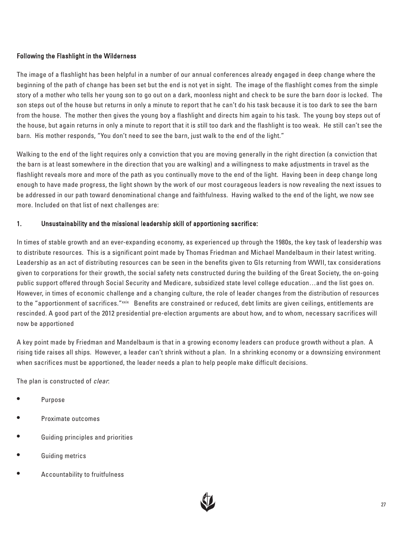## Following the Flashlight in the Wilderness

The image of a flashlight has been helpful in a number of our annual conferences already engaged in deep change where the beginning of the path of change has been set but the end is not yet in sight. The image of the flashlight comes from the simple story of a mother who tells her young son to go out on a dark, moonless night and check to be sure the barn door is locked. The son steps out of the house but returns in only a minute to report that he can't do his task because it is too dark to see the barn from the house. The mother then gives the young boy a flashlight and directs him again to his task. The young boy steps out of the house, but again returns in only a minute to report that it is still too dark and the flashlight is too weak. He still can't see the barn. His mother responds, "You don't need to see the barn, just walk to the end of the light."

Walking to the end of the light requires only a conviction that you are moving generally in the right direction (a conviction that the barn is at least somewhere in the direction that you are walking) and a willingness to make adjustments in travel as the flashlight reveals more and more of the path as you continually move to the end of the light. Having been in deep change long enough to have made progress, the light shown by the work of our most courageous leaders is now revealing the next issues to be addressed in our path toward denominational change and faithfulness. Having walked to the end of the light, we now see more. Included on that list of next challenges are:

## 1. Unsustainability and the missional leadership skill of apportioning sacrifice:

In times of stable growth and an ever-expanding economy, as experienced up through the 1980s, the key task of leadership was to distribute resources. This is a significant point made by Thomas Friedman and Michael Mandelbaum in their latest writing. Leadership as an act of distributing resources can be seen in the benefits given to GIs returning from WWII, tax considerations given to corporations for their growth, the social safety nets constructed during the building of the Great Society, the on-going public support offered through Social Security and Medicare, subsidized state level college education…and the list goes on. However, in times of economic challenge and a changing culture, the role of leader changes from the distribution of resources to the "apportionment of sacrifices."xxix Benefits are constrained or reduced, debt limits are given ceilings, entitlements are rescinded. A good part of the 2012 presidential pre-election arguments are about how, and to whom, necessary sacrifices will now be apportioned

A key point made by Friedman and Mandelbaum is that in a growing economy leaders can produce growth without a plan. A rising tide raises all ships. However, a leader can't shrink without a plan. In a shrinking economy or a downsizing environment when sacrifices must be apportioned, the leader needs a plan to help people make difficult decisions.

The plan is constructed of *clear*:

- Purpose
- Proximate outcomes
- Guiding principles and priorities
- Guiding metrics
- Accountability to fruitfulness

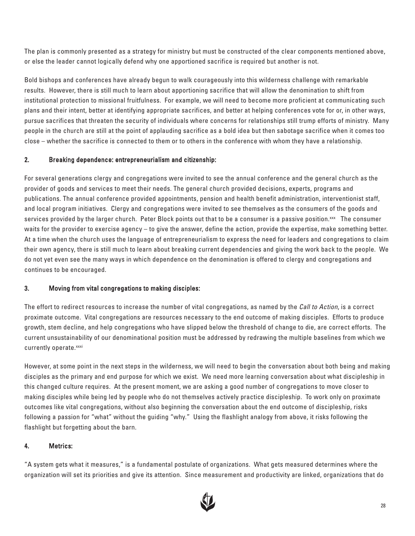The plan is commonly presented as a strategy for ministry but must be constructed of the clear components mentioned above, or else the leader cannot logically defend why one apportioned sacrifice is required but another is not.

Bold bishops and conferences have already begun to walk courageously into this wilderness challenge with remarkable results. However, there is still much to learn about apportioning sacrifice that will allow the denomination to shift from institutional protection to missional fruitfulness. For example, we will need to become more proficient at communicating such plans and their intent, better at identifying appropriate sacrifices, and better at helping conferences vote for or, in other ways, pursue sacrifices that threaten the security of individuals where concerns for relationships still trump efforts of ministry. Many people in the church are still at the point of applauding sacrifice as a bold idea but then sabotage sacrifice when it comes too close – whether the sacrifice is connected to them or to others in the conference with whom they have a relationship.

## 2. Breaking dependence: entrepreneurialism and citizenship:

For several generations clergy and congregations were invited to see the annual conference and the general church as the provider of goods and services to meet their needs. The general church provided decisions, experts, programs and publications. The annual conference provided appointments, pension and health benefit administration, interventionist staff, and local program initiatives. Clergy and congregations were invited to see themselves as the consumers of the goods and services provided by the larger church. Peter Block points out that to be a consumer is a passive position.<sup>xxx</sup> The consumer waits for the provider to exercise agency – to give the answer, define the action, provide the expertise, make something better. At a time when the church uses the language of entrepreneurialism to express the need for leaders and congregations to claim their own agency, there is still much to learn about breaking current dependencies and giving the work back to the people. We do not yet even see the many ways in which dependence on the denomination is offered to clergy and congregations and continues to be encouraged.

## 3. Moving from vital congregations to making disciples:

The effort to redirect resources to increase the number of vital congregations, as named by the *Call to Action*, is a correct proximate outcome. Vital congregations are resources necessary to the end outcome of making disciples. Efforts to produce growth, stem decline, and help congregations who have slipped below the threshold of change to die, are correct efforts. The current unsustainability of our denominational position must be addressed by redrawing the multiple baselines from which we currently operate.<sup>xxxi</sup>

However, at some point in the next steps in the wilderness, we will need to begin the conversation about both being and making disciples as the primary and end purpose for which we exist. We need more learning conversation about what discipleship in this changed culture requires. At the present moment, we are asking a good number of congregations to move closer to making disciples while being led by people who do not themselves actively practice discipleship. To work only on proximate outcomes like vital congregations, without also beginning the conversation about the end outcome of discipleship, risks following a passion for "what" without the guiding "why." Using the flashlight analogy from above, it risks following the flashlight but forgetting about the barn.

## 4. Metrics:

"A system gets what it measures," is a fundamental postulate of organizations. What gets measured determines where the organization will set its priorities and give its attention. Since measurement and productivity are linked, organizations that do

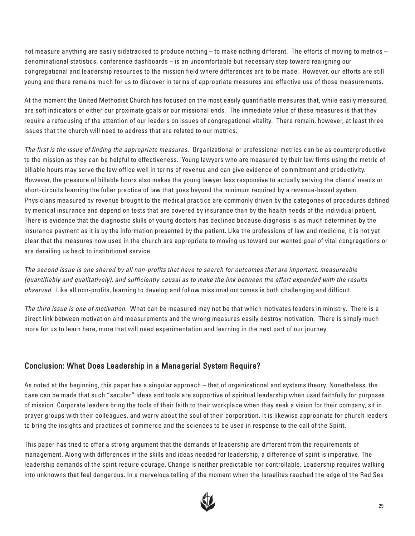not measure anything are easily sidetracked to produce nothing – to make nothing different. The efforts of moving to metrics – denominational statistics, conference dashboards – is an uncomfortable but necessary step toward realigning our congregational and leadership resources to the mission field where differences are to be made. However, our efforts are still young and there remains much for us to discover in terms of appropriate measures and effective use of those measurements.

At the moment the United Methodist Church has focused on the most easily quantifiable measures that, while easily measured, are soft indicators of either our proximate goals or our missional ends. The immediate value of these measures is that they require a refocusing of the attention of our leaders on issues of congregational vitality. There remain, however, at least three issues that the church will need to address that are related to our metrics.

*The first is the issue of finding the appropriate measures.* Organizational or professional metrics can be as counterproductive to the mission as they can be helpful to effectiveness. Young lawyers who are measured by their law firms using the metric of billable hours may serve the law office well in terms of revenue and can give evidence of commitment and productivity. However, the pressure of billable hours also makes the young lawyer less responsive to actually serving the clients' needs or short-circuits learning the fuller practice of law that goes beyond the minimum required by a revenue-based system. Physicians measured by revenue brought to the medical practice are commonly driven by the categories of procedures defined by medical insurance and depend on tests that are covered by insurance than by the health needs of the individual patient. There is evidence that the diagnostic skills of young doctors has declined because diagnosis is as much determined by the insurance payment as it is by the information presented by the patient. Like the professions of law and medicine, it is not yet clear that the measures now used in the church are appropriate to moving us toward our wanted goal of vital congregations or are derailing us back to institutional service.

The second issue is one shared by all non-profits that have to search for outcomes that are important, measureable (quantifiably and qualitatively), and sufficiently causal as to make the link between the effort expended with the results *observed.* Like all non-profits, learning to develop and follow missional outcomes is both challenging and difficult.

*The third issue is one of motivation.* What can be measured may not be that which motivates leaders in ministry. There is a direct link between motivation and measurements and the wrong measures easily destroy motivation. There is simply much more for us to learn here, more that will need experimentation and learning in the next part of our journey.

## Conclusion: What Does Leadership in a Managerial System Require?

As noted at the beginning, this paper has a singular approach – that of organizational and systems theory. Nonetheless, the case can be made that such "secular" ideas and tools are supportive of spiritual leadership when used faithfully for purposes of mission. Corporate leaders bring the tools of their faith to their workplace when they seek a vision for their company, sit in prayer groups with their colleagues, and worry about the soul of their corporation. It is likewise appropriate for church leaders to bring the insights and practices of commerce and the sciences to be used in response to the call of the Spirit.

This paper has tried to offer a strong argument that the demands of leadership are different from the requirements of management. Along with differences in the skills and ideas needed for leadership, a difference of spirit is imperative. The leadership demands of the spirit require courage. Change is neither predictable nor controllable. Leadership requires walking into unknowns that feel dangerous. In a marvelous telling of the moment when the Israelites reached the edge of the Red Sea

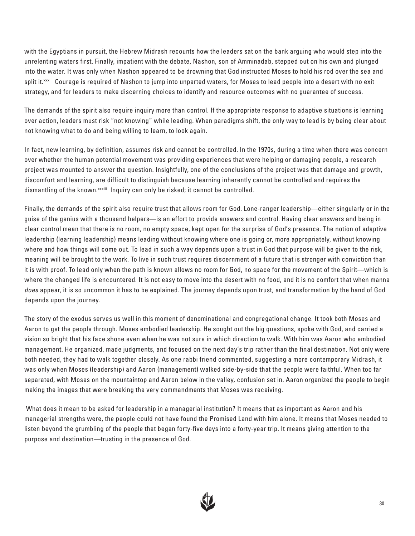with the Egyptians in pursuit, the Hebrew Midrash recounts how the leaders sat on the bank arguing who would step into the unrelenting waters first. Finally, impatient with the debate, Nashon, son of Amminadab, stepped out on his own and plunged into the water. It was only when Nashon appeared to be drowning that God instructed Moses to hold his rod over the sea and split it.<sup>xxxii</sup> Courage is required of Nashon to jump into unparted waters, for Moses to lead people into a desert with no exit strategy, and for leaders to make discerning choices to identify and resource outcomes with no guarantee of success.

The demands of the spirit also require inquiry more than control. If the appropriate response to adaptive situations is learning over action, leaders must risk "not knowing" while leading. When paradigms shift, the only way to lead is by being clear about not knowing what to do and being willing to learn, to look again.

In fact, new learning, by definition, assumes risk and cannot be controlled. In the 1970s, during a time when there was concern over whether the human potential movement was providing experiences that were helping or damaging people, a research project was mounted to answer the question. Insightfully, one of the conclusions of the project was that damage and growth, discomfort and learning, are difficult to distinguish because learning inherently cannot be controlled and requires the dismantling of the known. xxxiii Inquiry can only be risked; it cannot be controlled.

Finally, the demands of the spirit also require trust that allows room for God. Lone-ranger leadership—either singularly or in the guise of the genius with a thousand helpers—is an effort to provide answers and control. Having clear answers and being in clear control mean that there is no room, no empty space, kept open for the surprise of God's presence. The notion of adaptive leadership (learning leadership) means leading without knowing where one is going or, more appropriately, without knowing where and how things will come out. To lead in such a way depends upon a trust in God that purpose will be given to the risk, meaning will be brought to the work. To live in such trust requires discernment of a future that is stronger with conviction than it is with proof. To lead only when the path is known allows no room for God, no space for the movement of the Spirit—which is where the changed life is encountered. It is not easy to move into the desert with no food, and it is no comfort that when manna *does* appear, it is so uncommon it has to be explained. The journey depends upon trust, and transformation by the hand of God depends upon the journey.

The story of the exodus serves us well in this moment of denominational and congregational change. It took both Moses and Aaron to get the people through. Moses embodied leadership. He sought out the big questions, spoke with God, and carried a vision so bright that his face shone even when he was not sure in which direction to walk. With him was Aaron who embodied management. He organized, made judgments, and focused on the next day's trip rather than the final destination. Not only were both needed, they had to walk together closely. As one rabbi friend commented, suggesting a more contemporary Midrash, it was only when Moses (leadership) and Aaron (management) walked side-by-side that the people were faithful. When too far separated, with Moses on the mountaintop and Aaron below in the valley, confusion set in. Aaron organized the people to begin making the images that were breaking the very commandments that Moses was receiving.

What does it mean to be asked for leadership in a managerial institution? It means that as important as Aaron and his managerial strengths were, the people could not have found the Promised Land with him alone. It means that Moses needed to listen beyond the grumbling of the people that began forty-five days into a forty-year trip. It means giving attention to the purpose and destination—trusting in the presence of God.

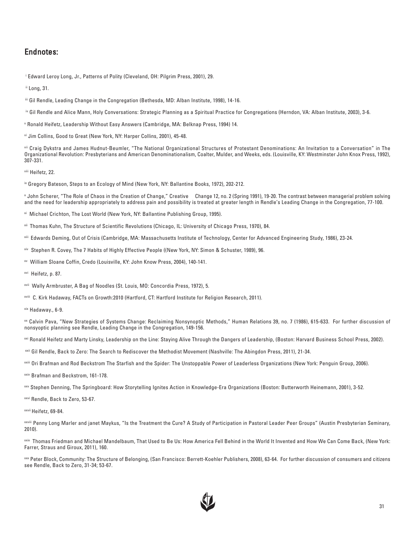## Endnotes:

<sup>i</sup> Edward Leroy Long, Jr., Patterns of Polity (Cleveland, OH: Pilgrim Press, 2001), 29.

ii Long, 31.

iii Gil Rendle, Leading Change in the Congregation (Bethesda, MD: Alban Institute, 1998), 14-16.

iv Gil Rendle and Alice Mann, Holy Conversations: Strategic Planning as a Spiritual Practice for Congregations (Herndon, VA: Alban Institute, 2003), 3-6.

<sup>v</sup> Ronald Heifetz, Leadership Without Easy Answers (Cambridge, MA: Belknap Press, 1994) 14.

vi Jim Collins, Good to Great (New York, NY: Harper Collins, 2001), 45-48.

vii Craig Dykstra and James Hudnut-Beumler, "The National Organizational Structures of Protestant Denominations: An Invitation to a Conversation" in The Organizational Revolution: Presbyterians and American Denominationalism, Coalter, Mulder, and Weeks, eds. (Louisville, KY: Westminster John Knox Press, 1992), 307-331.

viii Heifetz, 22.

ix Gregory Bateson, Steps to an Ecology of Mind (New York, NY: Ballantine Books, 1972), 202-212.

<sup>x</sup> John Scherer, "The Role of Chaos in the Creation of Change," Creative Change 12, no. 2 (Spring 1991), 19-20. The contrast between managerial problem solving and the need for leadership appropriately to address pain and possibility is treated at greater length in Rendle's Leading Change in the Congregation, 77-100.

xi Michael Crichton, The Lost World (New York, NY: Ballantine Publishing Group, 1995).

xii Thomas Kuhn, The Structure of Scientific Revolutions (Chicago, IL: University of Chicago Press, 1970), 84.

xiii Edwards Deming, Out of Crisis (Cambridge, MA: Massachusetts Institute of Technology, Center for Advanced Engineering Study, 1986), 23-24.

xiv Stephen R. Covey, The 7 Habits of Highly Effective People ((New York, NY: Simon & Schuster, 1989), 96.

xv William Sloane Coffin, Credo (Louisville, KY: John Know Press, 2004), 140-141.

xvi Heifetz, p. 87.

xvii Wally Armbruster, A Bag of Noodles (St. Louis, MO: Concordia Press, 1972), 5.

xviii C. Kirk Hadaway, FACTs on Growth:2010 (Hartford, CT: Hartford Institute for Religion Research, 2011).

xix Hadaway., 6-9.

xx Calvin Pava, "New Strategies of Systems Change: Reclaiming Nonsynoptic Methods," Human Relations 39, no. 7 (1986), 615-633. For further discussion of nonsyoptic planning see Rendle, Leading Change in the Congregation, 149-156.

xxi Ronald Heifetz and Marty Linsky, Leadership on the Line: Staying Alive Through the Dangers of Leadership, (Boston: Harvard Business School Press, 2002).

xxii Gil Rendle, Back to Zero: The Search to Rediscover the Methodist Movement (Nashville: The Abingdon Press, 2011), 21-34.

xxiii Ori Brafman and Rod Beckstrom The Starfish and the Spider: The Unstoppable Power of Leaderless Organizations (New York: Penguin Group, 2006).

xxiv Brafman and Beckstrom, 161-178.

xxv Stephen Denning, The Springboard: How Storytelling Ignites Action in Knowledge-Era Organizations (Boston: Butterworth Heinemann, 2001), 3-52.

xxvi Rendle, Back to Zero, 53-67.

xxvii Heifetz, 69-84.

xxviii Penny Long Marler and janet Maykus, "Is the Treatment the Cure? A Study of Participation in Pastoral Leader Peer Groups" (Austin Presbyterian Seminary, 2010).

xxix Thomas Friedman and Michael Mandelbaum, That Used to Be Us: How America Fell Behind in the World It Invented and How We Can Come Back, (New York: Farrer, Straus and Giroux, 2011), 160.

xxx Peter Block, Community: The Structure of Belonging, (San Francisco: Berrett-Koehler Publishers, 2008), 63-64. For further discussion of consumers and citizens see Rendle, Back to Zero, 31-34; 53-67.